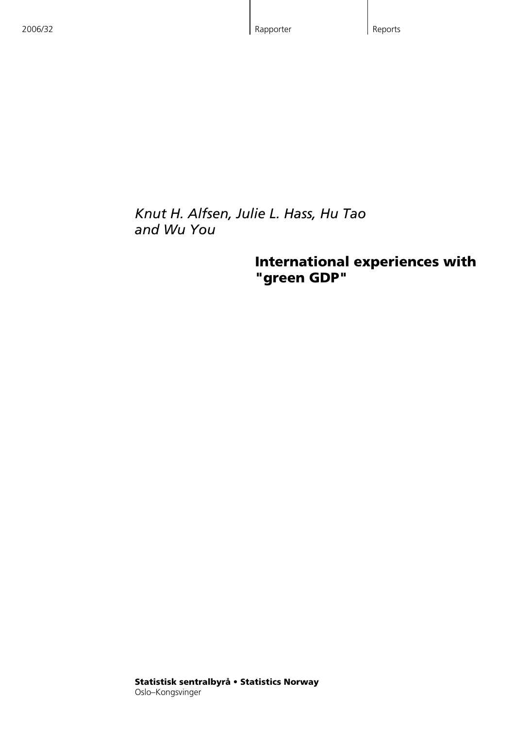*Knut H. Alfsen, Julie L. Hass, Hu Tao and Wu You* 

> **International experiences with "green GDP"**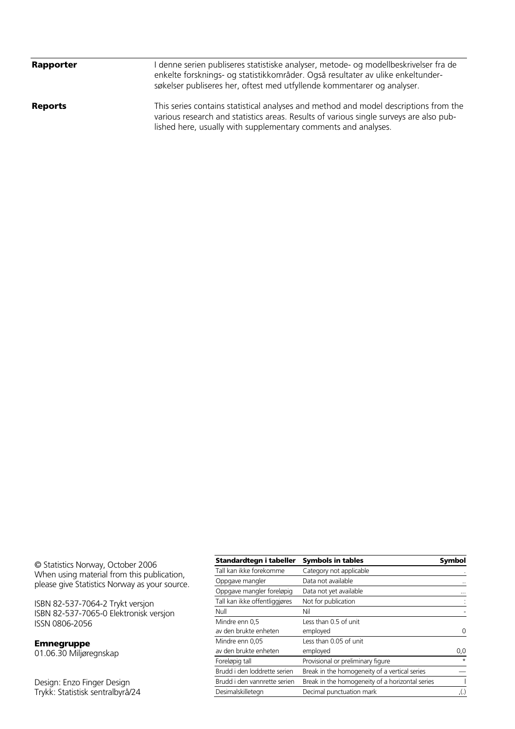| Rapporter      | I denne serien publiseres statistiske analyser, metode- og modellbeskrivelser fra de<br>enkelte forsknings- og statistikkområder. Også resultater av ulike enkeltunder-<br>søkelser publiseres her, oftest med utfyllende kommentarer og analyser. |
|----------------|----------------------------------------------------------------------------------------------------------------------------------------------------------------------------------------------------------------------------------------------------|
| <b>Reports</b> | This series contains statistical analyses and method and model descriptions from the<br>various research and statistics areas. Results of various single surveys are also pub-<br>lished here, usually with supplementary comments and analyses.   |

© Statistics Norway, October 2006 When using material from this publication, please give Statistics Norway as your source.

ISBN 82-537-7064-2 Trykt versjon ISBN 82-537-7065-0 Elektronisk versjon ISSN 0806-2056

**Emnegruppe**

01.06.30 Miljøregnskap

Design: Enzo Finger Design Trykk: Statistisk sentralbyrå/24

| Standardtegn i tabeller       | <b>Symbols in tables</b>                        | Symbol  |
|-------------------------------|-------------------------------------------------|---------|
| Tall kan ikke forekomme       | Category not applicable                         |         |
| Oppgave mangler               | Data not available                              |         |
| Oppgave mangler foreløpig     | Data not yet available                          |         |
| Tall kan ikke offentliggjøres | Not for publication                             |         |
| Null                          | Nil                                             |         |
| Mindre enn 0,5                | Less than 0.5 of unit                           |         |
| av den brukte enheten         | employed                                        | O       |
| Mindre enn 0,05               | Less than 0.05 of unit                          |         |
| av den brukte enheten         | employed                                        | 0,0     |
| Foreløpig tall                | Provisional or preliminary figure               | $\star$ |
| Brudd i den loddrette serien  | Break in the homogeneity of a vertical series   |         |
| Brudd i den vannrette serien  | Break in the homogeneity of a horizontal series |         |
| Desimalskilletegn             | Decimal punctuation mark                        |         |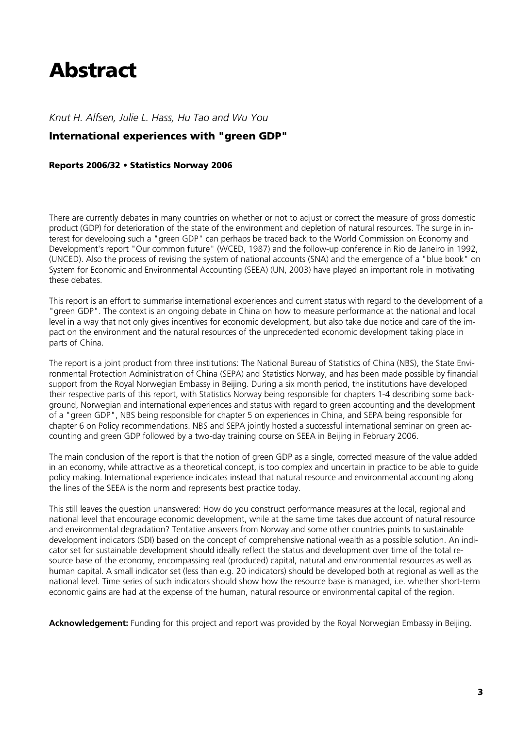# **Abstract**

# *Knut H. Alfsen, Julie L. Hass, Hu Tao and Wu You*

# **International experiences with "green GDP"**

# **Reports 2006/32 • Statistics Norway 2006**

There are currently debates in many countries on whether or not to adjust or correct the measure of gross domestic product (GDP) for deterioration of the state of the environment and depletion of natural resources. The surge in interest for developing such a "green GDP" can perhaps be traced back to the World Commission on Economy and Development's report "Our common future" (WCED, 1987) and the follow-up conference in Rio de Janeiro in 1992, (UNCED). Also the process of revising the system of national accounts (SNA) and the emergence of a "blue book" on System for Economic and Environmental Accounting (SEEA) (UN, 2003) have played an important role in motivating these debates.

This report is an effort to summarise international experiences and current status with regard to the development of a "green GDP". The context is an ongoing debate in China on how to measure performance at the national and local level in a way that not only gives incentives for economic development, but also take due notice and care of the impact on the environment and the natural resources of the unprecedented economic development taking place in parts of China.

The report is a joint product from three institutions: The National Bureau of Statistics of China (NBS), the State Environmental Protection Administration of China (SEPA) and Statistics Norway, and has been made possible by financial support from the Royal Norwegian Embassy in Beijing. During a six month period, the institutions have developed their respective parts of this report, with Statistics Norway being responsible for chapters 1-4 describing some background, Norwegian and international experiences and status with regard to green accounting and the development of a "green GDP", NBS being responsible for chapter 5 on experiences in China, and SEPA being responsible for chapter 6 on Policy recommendations. NBS and SEPA jointly hosted a successful international seminar on green accounting and green GDP followed by a two-day training course on SEEA in Beijing in February 2006.

The main conclusion of the report is that the notion of green GDP as a single, corrected measure of the value added in an economy, while attractive as a theoretical concept, is too complex and uncertain in practice to be able to guide policy making. International experience indicates instead that natural resource and environmental accounting along the lines of the SEEA is the norm and represents best practice today.

This still leaves the question unanswered: How do you construct performance measures at the local, regional and national level that encourage economic development, while at the same time takes due account of natural resource and environmental degradation? Tentative answers from Norway and some other countries points to sustainable development indicators (SDI) based on the concept of comprehensive national wealth as a possible solution. An indicator set for sustainable development should ideally reflect the status and development over time of the total resource base of the economy, encompassing real (produced) capital, natural and environmental resources as well as human capital. A small indicator set (less than e.g. 20 indicators) should be developed both at regional as well as the national level. Time series of such indicators should show how the resource base is managed, i.e. whether short-term economic gains are had at the expense of the human, natural resource or environmental capital of the region.

**Acknowledgement:** Funding for this project and report was provided by the Royal Norwegian Embassy in Beijing.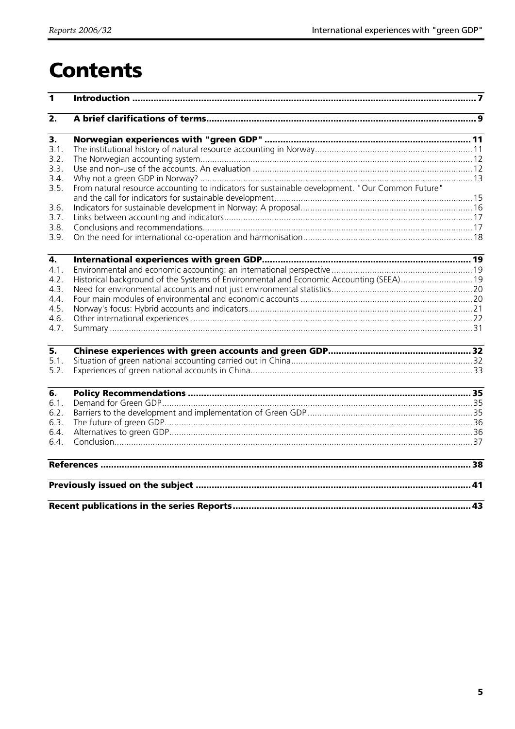# **Contents**

| 1    |                                                                                                 |  |
|------|-------------------------------------------------------------------------------------------------|--|
| 2.   |                                                                                                 |  |
| 3.   |                                                                                                 |  |
| 3.1. |                                                                                                 |  |
| 3.2. |                                                                                                 |  |
| 3.3. |                                                                                                 |  |
| 3.4. |                                                                                                 |  |
| 3.5. | From natural resource accounting to indicators for sustainable development. "Our Common Future" |  |
| 3.6. |                                                                                                 |  |
| 3.7. |                                                                                                 |  |
| 3.8. |                                                                                                 |  |
| 3.9. |                                                                                                 |  |
| 4.   |                                                                                                 |  |
| 4.1. |                                                                                                 |  |
| 4.2. | Historical background of the Systems of Environmental and Economic Accounting (SEEA)19          |  |
| 4.3. |                                                                                                 |  |
| 4.4. |                                                                                                 |  |
| 4.5. |                                                                                                 |  |
| 4.6. |                                                                                                 |  |
| 4.7. |                                                                                                 |  |
| 5.   |                                                                                                 |  |
| 5.1. |                                                                                                 |  |
| 5.2. |                                                                                                 |  |
| 6.   |                                                                                                 |  |
| 6.1. |                                                                                                 |  |
| 6.2. |                                                                                                 |  |
| 6.3. |                                                                                                 |  |
| 6.4. |                                                                                                 |  |
| 6.4. |                                                                                                 |  |
|      |                                                                                                 |  |
|      |                                                                                                 |  |
|      |                                                                                                 |  |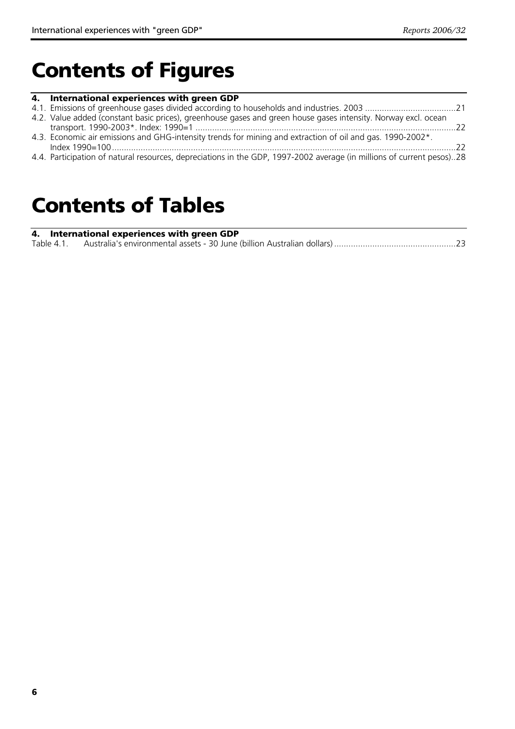# **Contents of Figures**

# **4. International experiences with green GDP**

| 4.2. Value added (constant basic prices), greenhouse gases and green house gases intensity. Norway excl. ocean |    |
|----------------------------------------------------------------------------------------------------------------|----|
|                                                                                                                |    |
| 4.3. Economic air emissions and GHG-intensity trends for mining and extraction of oil and gas. 1990-2002*.     |    |
|                                                                                                                | つつ |

4.4. Participation of natural resources, depreciations in the GDP, 1997-2002 average (in millions of current pesos)..28

# **Contents of Tables**

# **4. International experiences with green GDP**<br>Table 4.1. Australia's environmental assets - 30 June

Table 4.1. Australia's environmental assets - 30 June (billion Australian dollars) ...................................................23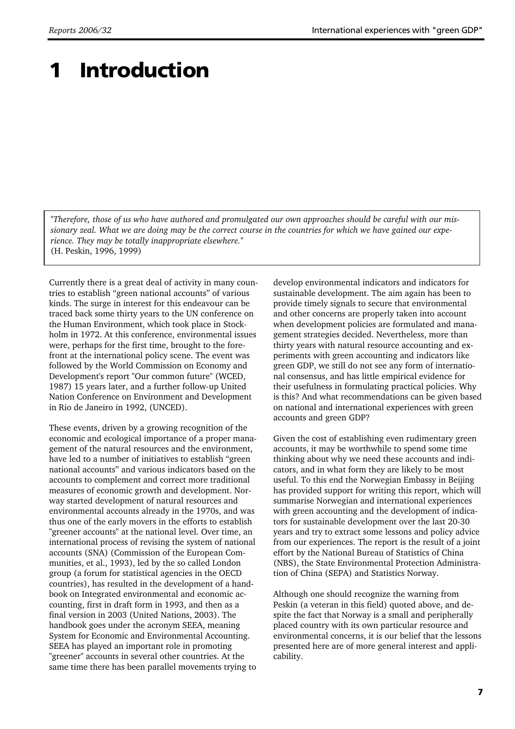# **1 Introduction**

*"Therefore, those of us who have authored and promulgated our own approaches should be careful with our missionary zeal. What we are doing may be the correct course in the countries for which we have gained our experience. They may be totally inappropriate elsewhere."*  (H. Peskin, 1996, 1999)

Currently there is a great deal of activity in many countries to establish "green national accounts" of various kinds. The surge in interest for this endeavour can be traced back some thirty years to the UN conference on the Human Environment, which took place in Stockholm in 1972. At this conference, environmental issues were, perhaps for the first time, brought to the forefront at the international policy scene. The event was followed by the World Commission on Economy and Development's report "Our common future" (WCED, 1987) 15 years later, and a further follow-up United Nation Conference on Environment and Development in Rio de Janeiro in 1992, (UNCED).

These events, driven by a growing recognition of the economic and ecological importance of a proper management of the natural resources and the environment, have led to a number of initiatives to establish "green national accounts" and various indicators based on the accounts to complement and correct more traditional measures of economic growth and development. Norway started development of natural resources and environmental accounts already in the 1970s, and was thus one of the early movers in the efforts to establish "greener accounts" at the national level. Over time, an international process of revising the system of national accounts (SNA) (Commission of the European Communities, et al., 1993), led by the so called London group (a forum for statistical agencies in the OECD countries), has resulted in the development of a handbook on Integrated environmental and economic accounting, first in draft form in 1993, and then as a final version in 2003 (United Nations, 2003). The handbook goes under the acronym SEEA, meaning System for Economic and Environmental Accounting. SEEA has played an important role in promoting "greener" accounts in several other countries. At the same time there has been parallel movements trying to develop environmental indicators and indicators for sustainable development. The aim again has been to provide timely signals to secure that environmental and other concerns are properly taken into account when development policies are formulated and management strategies decided. Nevertheless, more than thirty years with natural resource accounting and experiments with green accounting and indicators like green GDP, we still do not see any form of international consensus, and has little empirical evidence for their usefulness in formulating practical policies. Why is this? And what recommendations can be given based on national and international experiences with green accounts and green GDP?

Given the cost of establishing even rudimentary green accounts, it may be worthwhile to spend some time thinking about why we need these accounts and indicators, and in what form they are likely to be most useful. To this end the Norwegian Embassy in Beijing has provided support for writing this report, which will summarise Norwegian and international experiences with green accounting and the development of indicators for sustainable development over the last 20-30 years and try to extract some lessons and policy advice from our experiences. The report is the result of a joint effort by the National Bureau of Statistics of China (NBS), the State Environmental Protection Administration of China (SEPA) and Statistics Norway.

Although one should recognize the warning from Peskin (a veteran in this field) quoted above, and despite the fact that Norway is a small and peripherally placed country with its own particular resource and environmental concerns, it is our belief that the lessons presented here are of more general interest and applicability.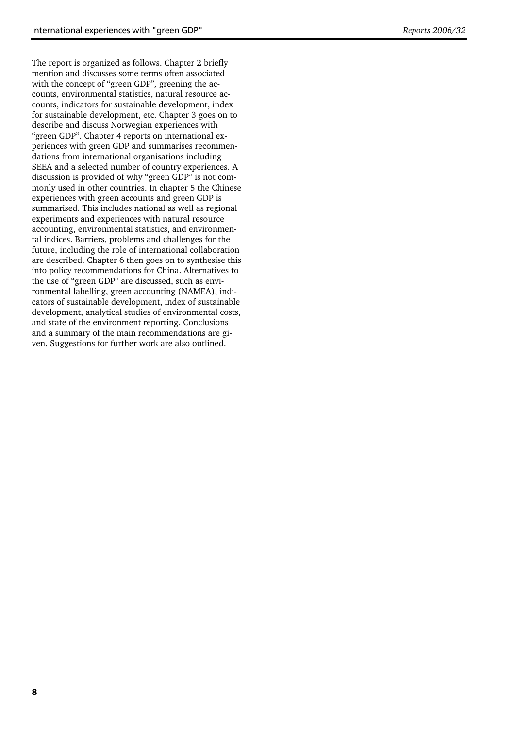The report is organized as follows. Chapter 2 briefly mention and discusses some terms often associated with the concept of "green GDP", greening the accounts, environmental statistics, natural resource accounts, indicators for sustainable development, index for sustainable development, etc. Chapter 3 goes on to describe and discuss Norwegian experiences with "green GDP". Chapter 4 reports on international experiences with green GDP and summarises recommendations from international organisations including SEEA and a selected number of country experiences. A discussion is provided of why "green GDP" is not commonly used in other countries. In chapter 5 the Chinese experiences with green accounts and green GDP is summarised. This includes national as well as regional experiments and experiences with natural resource accounting, environmental statistics, and environmental indices. Barriers, problems and challenges for the future, including the role of international collaboration are described. Chapter 6 then goes on to synthesise this into policy recommendations for China. Alternatives to the use of "green GDP" are discussed, such as environmental labelling, green accounting (NAMEA), indicators of sustainable development, index of sustainable development, analytical studies of environmental costs, and state of the environment reporting. Conclusions and a summary of the main recommendations are given. Suggestions for further work are also outlined.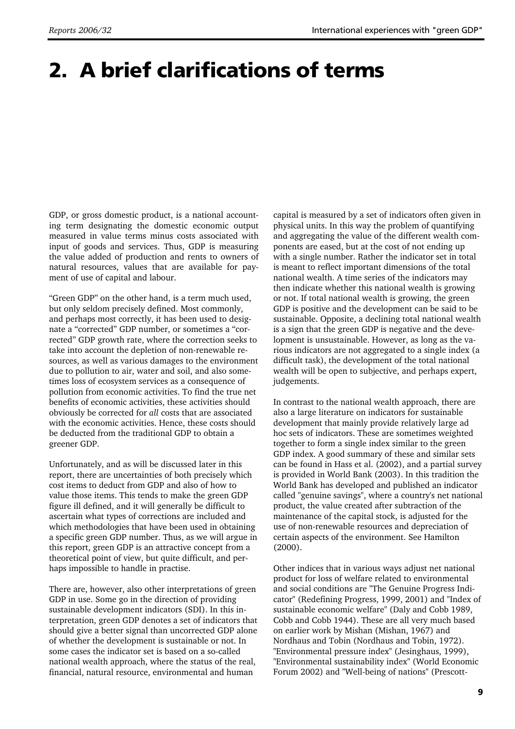# **2. A brief clarifications of terms**

GDP, or gross domestic product, is a national accounting term designating the domestic economic output measured in value terms minus costs associated with input of goods and services. Thus, GDP is measuring the value added of production and rents to owners of natural resources, values that are available for payment of use of capital and labour.

"Green GDP" on the other hand, is a term much used, but only seldom precisely defined. Most commonly, and perhaps most correctly, it has been used to designate a "corrected" GDP number, or sometimes a "corrected" GDP growth rate, where the correction seeks to take into account the depletion of non-renewable resources, as well as various damages to the environment due to pollution to air, water and soil, and also sometimes loss of ecosystem services as a consequence of pollution from economic activities. To find the true net benefits of economic activities, these activities should obviously be corrected for *all* costs that are associated with the economic activities. Hence, these costs should be deducted from the traditional GDP to obtain a greener GDP.

Unfortunately, and as will be discussed later in this report, there are uncertainties of both precisely which cost items to deduct from GDP and also of how to value those items. This tends to make the green GDP figure ill defined, and it will generally be difficult to ascertain what types of corrections are included and which methodologies that have been used in obtaining a specific green GDP number. Thus, as we will argue in this report, green GDP is an attractive concept from a theoretical point of view, but quite difficult, and perhaps impossible to handle in practise.

There are, however, also other interpretations of green GDP in use. Some go in the direction of providing sustainable development indicators (SDI). In this interpretation, green GDP denotes a set of indicators that should give a better signal than uncorrected GDP alone of whether the development is sustainable or not. In some cases the indicator set is based on a so-called national wealth approach, where the status of the real, financial, natural resource, environmental and human

capital is measured by a set of indicators often given in physical units. In this way the problem of quantifying and aggregating the value of the different wealth components are eased, but at the cost of not ending up with a single number. Rather the indicator set in total is meant to reflect important dimensions of the total national wealth. A time series of the indicators may then indicate whether this national wealth is growing or not. If total national wealth is growing, the green GDP is positive and the development can be said to be sustainable. Opposite, a declining total national wealth is a sign that the green GDP is negative and the development is unsustainable. However, as long as the various indicators are not aggregated to a single index (a difficult task), the development of the total national wealth will be open to subjective, and perhaps expert, judgements.

In contrast to the national wealth approach, there are also a large literature on indicators for sustainable development that mainly provide relatively large ad hoc sets of indicators. These are sometimes weighted together to form a single index similar to the green GDP index. A good summary of these and similar sets can be found in Hass et al. (2002), and a partial survey is provided in World Bank (2003). In this tradition the World Bank has developed and published an indicator called "genuine savings", where a country's net national product, the value created after subtraction of the maintenance of the capital stock, is adjusted for the use of non-renewable resources and depreciation of certain aspects of the environment. See Hamilton (2000).

Other indices that in various ways adjust net national product for loss of welfare related to environmental and social conditions are "The Genuine Progress Indicator" (Redefining Progress, 1999, 2001) and "Index of sustainable economic welfare" (Daly and Cobb 1989, Cobb and Cobb 1944). These are all very much based on earlier work by Mishan (Mishan, 1967) and Nordhaus and Tobin (Nordhaus and Tobin, 1972). "Environmental pressure index" (Jesinghaus, 1999), "Environmental sustainability index" (World Economic Forum 2002) and "Well-being of nations" (Prescott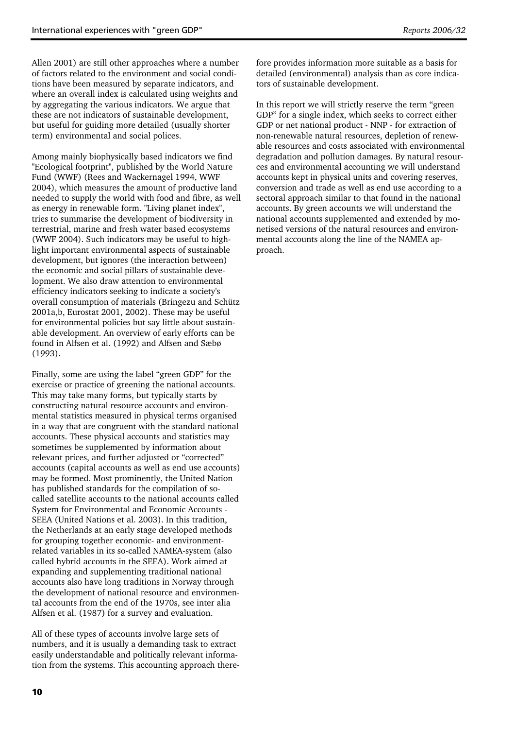Allen 2001) are still other approaches where a number of factors related to the environment and social conditions have been measured by separate indicators, and where an overall index is calculated using weights and by aggregating the various indicators. We argue that these are not indicators of sustainable development, but useful for guiding more detailed (usually shorter term) environmental and social polices.

Among mainly biophysically based indicators we find "Ecological footprint", published by the World Nature Fund (WWF) (Rees and Wackernagel 1994, WWF 2004), which measures the amount of productive land needed to supply the world with food and fibre, as well as energy in renewable form. "Living planet index", tries to summarise the development of biodiversity in terrestrial, marine and fresh water based ecosystems (WWF 2004). Such indicators may be useful to highlight important environmental aspects of sustainable development, but ignores (the interaction between) the economic and social pillars of sustainable development. We also draw attention to environmental efficiency indicators seeking to indicate a society's overall consumption of materials (Bringezu and Schütz 2001a,b, Eurostat 2001, 2002). These may be useful for environmental policies but say little about sustainable development. An overview of early efforts can be found in Alfsen et al. (1992) and Alfsen and Sæbø (1993).

Finally, some are using the label "green GDP" for the exercise or practice of greening the national accounts. This may take many forms, but typically starts by constructing natural resource accounts and environmental statistics measured in physical terms organised in a way that are congruent with the standard national accounts. These physical accounts and statistics may sometimes be supplemented by information about relevant prices, and further adjusted or "corrected" accounts (capital accounts as well as end use accounts) may be formed. Most prominently, the United Nation has published standards for the compilation of socalled satellite accounts to the national accounts called System for Environmental and Economic Accounts - SEEA (United Nations et al. 2003). In this tradition, the Netherlands at an early stage developed methods for grouping together economic- and environmentrelated variables in its so-called NAMEA-system (also called hybrid accounts in the SEEA). Work aimed at expanding and supplementing traditional national accounts also have long traditions in Norway through the development of national resource and environmental accounts from the end of the 1970s, see inter alia Alfsen et al. (1987) for a survey and evaluation.

All of these types of accounts involve large sets of numbers, and it is usually a demanding task to extract easily understandable and politically relevant information from the systems. This accounting approach therefore provides information more suitable as a basis for detailed (environmental) analysis than as core indicators of sustainable development.

In this report we will strictly reserve the term "green GDP" for a single index, which seeks to correct either GDP or net national product - NNP - for extraction of non-renewable natural resources, depletion of renewable resources and costs associated with environmental degradation and pollution damages. By natural resources and environmental accounting we will understand accounts kept in physical units and covering reserves, conversion and trade as well as end use according to a sectoral approach similar to that found in the national accounts. By green accounts we will understand the national accounts supplemented and extended by monetised versions of the natural resources and environmental accounts along the line of the NAMEA approach.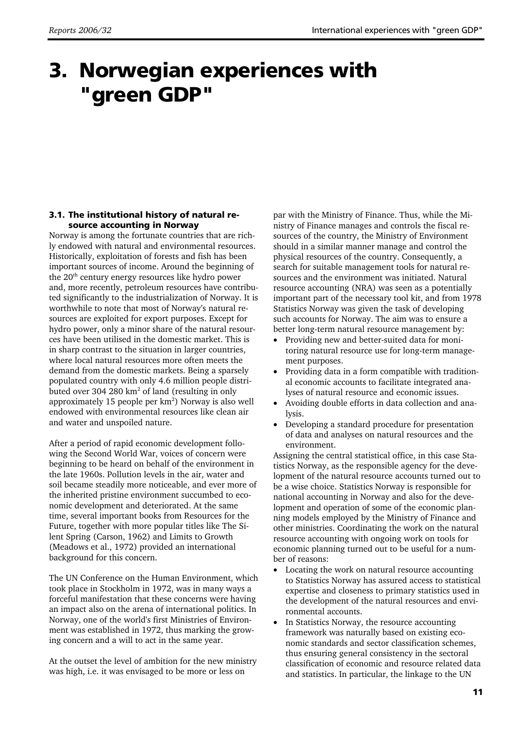# **3. Norwegian experiences with "green GDP"**

# **3.1. The institutional history of natural resource accounting in Norway**

Norway is among the fortunate countries that are richly endowed with natural and environmental resources. Historically, exploitation of forests and fish has been important sources of income. Around the beginning of the 20<sup>th</sup> century energy resources like hydro power and, more recently, petroleum resources have contributed significantly to the industrialization of Norway. It is worthwhile to note that most of Norway's natural resources are exploited for export purposes. Except for hydro power, only a minor share of the natural resources have been utilised in the domestic market. This is in sharp contrast to the situation in larger countries, where local natural resources more often meets the demand from the domestic markets. Being a sparsely populated country with only 4.6 million people distributed over 304 280  $km^2$  of land (resulting in only approximately 15 people per  $km<sup>2</sup>$ ) Norway is also well endowed with environmental resources like clean air and water and unspoiled nature.

After a period of rapid economic development following the Second World War, voices of concern were beginning to be heard on behalf of the environment in the late 1960s. Pollution levels in the air, water and soil became steadily more noticeable, and ever more of the inherited pristine environment succumbed to economic development and deteriorated. At the same time, several important books from Resources for the Future, together with more popular titles like The Silent Spring (Carson, 1962) and Limits to Growth (Meadows et al., 1972) provided an international background for this concern.

The UN Conference on the Human Environment, which took place in Stockholm in 1972, was in many ways a forceful manifestation that these concerns were having an impact also on the arena of international politics. In Norway, one of the world's first Ministries of Environment was established in 1972, thus marking the growing concern and a will to act in the same year.

At the outset the level of ambition for the new ministry was high, i.e. it was envisaged to be more or less on

par with the Ministry of Finance. Thus, while the Ministry of Finance manages and controls the fiscal resources of the country, the Ministry of Environment should in a similar manner manage and control the physical resources of the country. Consequently, a search for suitable management tools for natural resources and the environment was initiated. Natural resource accounting (NRA) was seen as a potentially important part of the necessary tool kit, and from 1978 Statistics Norway was given the task of developing such accounts for Norway. The aim was to ensure a better long-term natural resource management by:

- Providing new and better-suited data for monitoring natural resource use for long-term management purposes.
- Providing data in a form compatible with traditional economic accounts to facilitate integrated analyses of natural resource and economic issues.
- Avoiding double efforts in data collection and analysis.
- Developing a standard procedure for presentation of data and analyses on natural resources and the environment.

Assigning the central statistical office, in this case Statistics Norway, as the responsible agency for the development of the natural resource accounts turned out to be a wise choice. Statistics Norway is responsible for national accounting in Norway and also for the development and operation of some of the economic planning models employed by the Ministry of Finance and other ministries. Coordinating the work on the natural resource accounting with ongoing work on tools for economic planning turned out to be useful for a number of reasons:

- Locating the work on natural resource accounting to Statistics Norway has assured access to statistical expertise and closeness to primary statistics used in the development of the natural resources and environmental accounts.
- In Statistics Norway, the resource accounting framework was naturally based on existing economic standards and sector classification schemes, thus ensuring general consistency in the sectoral classification of economic and resource related data and statistics. In particular, the linkage to the UN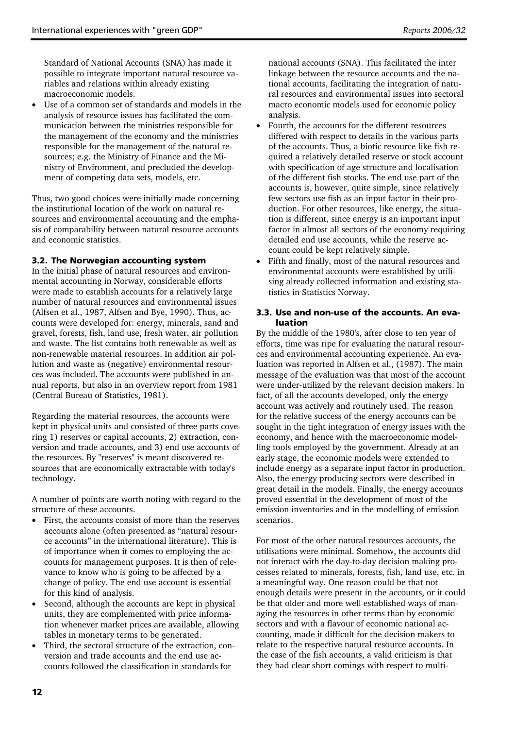Standard of National Accounts (SNA) has made it possible to integrate important natural resource variables and relations within already existing macroeconomic models.

Use of a common set of standards and models in the analysis of resource issues has facilitated the communication between the ministries responsible for the management of the economy and the ministries responsible for the management of the natural resources; e.g. the Ministry of Finance and the Ministry of Environment, and precluded the development of competing data sets, models, etc.

Thus, two good choices were initially made concerning the institutional location of the work on natural resources and environmental accounting and the emphasis of comparability between natural resource accounts and economic statistics.

## **3.2. The Norwegian accounting system**

In the initial phase of natural resources and environmental accounting in Norway, considerable efforts were made to establish accounts for a relatively large number of natural resources and environmental issues (Alfsen et al., 1987, Alfsen and Bye, 1990). Thus, accounts were developed for: energy, minerals, sand and gravel, forests, fish, land use, fresh water, air pollution and waste. The list contains both renewable as well as non-renewable material resources. In addition air pollution and waste as (negative) environmental resources was included. The accounts were published in annual reports, but also in an overview report from 1981 (Central Bureau of Statistics, 1981).

Regarding the material resources, the accounts were kept in physical units and consisted of three parts covering 1) reserves or capital accounts, 2) extraction, conversion and trade accounts, and 3) end use accounts of the resources. By "reserves" is meant discovered resources that are economically extractable with today's technology.

A number of points are worth noting with regard to the structure of these accounts.

- First, the accounts consist of more than the reserves accounts alone (often presented as "natural resource accounts" in the international literature). This is of importance when it comes to employing the accounts for management purposes. It is then of relevance to know who is going to be affected by a change of policy. The end use account is essential for this kind of analysis.
- Second, although the accounts are kept in physical units, they are complemented with price information whenever market prices are available, allowing tables in monetary terms to be generated.
- Third, the sectoral structure of the extraction, conversion and trade accounts and the end use accounts followed the classification in standards for

national accounts (SNA). This facilitated the inter linkage between the resource accounts and the national accounts, facilitating the integration of natural resources and environmental issues into sectoral macro economic models used for economic policy analysis.

- Fourth, the accounts for the different resources differed with respect to details in the various parts of the accounts. Thus, a biotic resource like fish required a relatively detailed reserve or stock account with specification of age structure and localisation of the different fish stocks. The end use part of the accounts is, however, quite simple, since relatively few sectors use fish as an input factor in their production. For other resources, like energy, the situation is different, since energy is an important input factor in almost all sectors of the economy requiring detailed end use accounts, while the reserve account could be kept relatively simple.
- Fifth and finally, most of the natural resources and environmental accounts were established by utilising already collected information and existing statistics in Statistics Norway.

#### **3.3. Use and non-use of the accounts. An evaluation**

By the middle of the 1980's, after close to ten year of efforts, time was ripe for evaluating the natural resources and environmental accounting experience. An evaluation was reported in Alfsen et al., (1987). The main message of the evaluation was that most of the account were under-utilized by the relevant decision makers. In fact, of all the accounts developed, only the energy account was actively and routinely used. The reason for the relative success of the energy accounts can be sought in the tight integration of energy issues with the economy, and hence with the macroeconomic modelling tools employed by the government. Already at an early stage, the economic models were extended to include energy as a separate input factor in production. Also, the energy producing sectors were described in great detail in the models. Finally, the energy accounts proved essential in the development of most of the emission inventories and in the modelling of emission scenarios.

For most of the other natural resources accounts, the utilisations were minimal. Somehow, the accounts did not interact with the day-to-day decision making processes related to minerals, forests, fish, land use, etc. in a meaningful way. One reason could be that not enough details were present in the accounts, or it could be that older and more well established ways of managing the resources in other terms than by economic sectors and with a flavour of economic national accounting, made it difficult for the decision makers to relate to the respective natural resource accounts. In the case of the fish accounts, a valid criticism is that they had clear short comings with respect to multi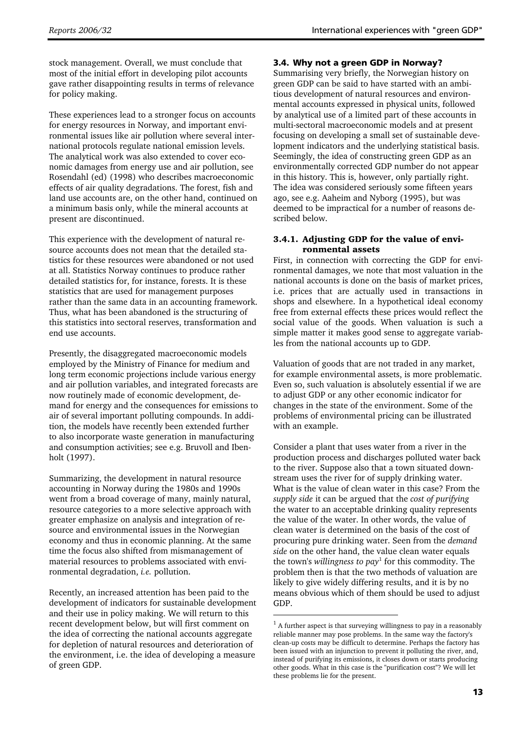stock management. Overall, we must conclude that most of the initial effort in developing pilot accounts gave rather disappointing results in terms of relevance for policy making.

These experiences lead to a stronger focus on accounts for energy resources in Norway, and important environmental issues like air pollution where several international protocols regulate national emission levels. The analytical work was also extended to cover economic damages from energy use and air pollution, see Rosendahl (ed) (1998) who describes macroeconomic effects of air quality degradations. The forest, fish and land use accounts are, on the other hand, continued on a minimum basis only, while the mineral accounts at present are discontinued.

This experience with the development of natural resource accounts does not mean that the detailed statistics for these resources were abandoned or not used at all. Statistics Norway continues to produce rather detailed statistics for, for instance, forests. It is these statistics that are used for management purposes rather than the same data in an accounting framework. Thus, what has been abandoned is the structuring of this statistics into sectoral reserves, transformation and end use accounts.

Presently, the disaggregated macroeconomic models employed by the Ministry of Finance for medium and long term economic projections include various energy and air pollution variables, and integrated forecasts are now routinely made of economic development, demand for energy and the consequences for emissions to air of several important polluting compounds. In addition, the models have recently been extended further to also incorporate waste generation in manufacturing and consumption activities; see e.g. Bruvoll and Ibenholt (1997).

Summarizing, the development in natural resource accounting in Norway during the 1980s and 1990s went from a broad coverage of many, mainly natural, resource categories to a more selective approach with greater emphasize on analysis and integration of resource and environmental issues in the Norwegian economy and thus in economic planning. At the same time the focus also shifted from mismanagement of material resources to problems associated with environmental degradation, *i.e.* pollution.

Recently, an increased attention has been paid to the development of indicators for sustainable development and their use in policy making. We will return to this recent development below, but will first comment on the idea of correcting the national accounts aggregate for depletion of natural resources and deterioration of the environment, i.e. the idea of developing a measure of green GDP.

# **3.4. Why not a green GDP in Norway?**

Summarising very briefly, the Norwegian history on green GDP can be said to have started with an ambitious development of natural resources and environmental accounts expressed in physical units, followed by analytical use of a limited part of these accounts in multi-sectoral macroeconomic models and at present focusing on developing a small set of sustainable development indicators and the underlying statistical basis. Seemingly, the idea of constructing green GDP as an environmentally corrected GDP number do not appear in this history. This is, however, only partially right. The idea was considered seriously some fifteen years ago, see e.g. Aaheim and Nyborg (1995), but was deemed to be impractical for a number of reasons described below.

#### 3.4.1. Adjusting GDP for the value of environmental assets

First, in connection with correcting the GDP for environmental damages, we note that most valuation in the national accounts is done on the basis of market prices, i.e. prices that are actually used in transactions in shops and elsewhere. In a hypothetical ideal economy free from external effects these prices would reflect the social value of the goods. When valuation is such a simple matter it makes good sense to aggregate variables from the national accounts up to GDP.

Valuation of goods that are not traded in any market, for example environmental assets, is more problematic. Even so, such valuation is absolutely essential if we are to adjust GDP or any other economic indicator for changes in the state of the environment. Some of the problems of environmental pricing can be illustrated with an example.

Consider a plant that uses water from a river in the production process and discharges polluted water back to the river. Suppose also that a town situated downstream uses the river for of supply drinking water. What is the value of clean water in this case? From the *supply side* it can be argued that the *cost of purifying*  the water to an acceptable drinking quality represents the value of the water. In other words, the value of clean water is determined on the basis of the cost of procuring pure drinking water. Seen from the *demand side* on the other hand, the value clean water equals the town's *willingness to pay*<sup>1</sup> for this commodity. The problem then is that the two methods of valuation are likely to give widely differing results, and it is by no means obvious which of them should be used to adjust GDP.

-

 $<sup>1</sup>$  A further aspect is that surveying willingness to pay in a reasonably</sup> reliable manner may pose problems. In the same way the factory's clean-up costs may be difficult to determine. Perhaps the factory has been issued with an injunction to prevent it polluting the river, and, instead of purifying its emissions, it closes down or starts producing other goods. What in this case is the "purification cost"? We will let these problems lie for the present.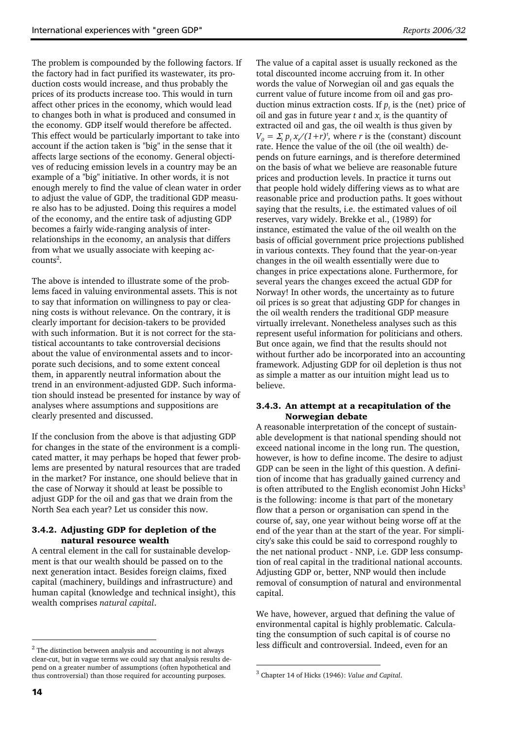The problem is compounded by the following factors. If the factory had in fact purified its wastewater, its production costs would increase, and thus probably the prices of its products increase too. This would in turn affect other prices in the economy, which would lead to changes both in what is produced and consumed in the economy. GDP itself would therefore be affected. This effect would be particularly important to take into account if the action taken is "big" in the sense that it affects large sections of the economy. General objectives of reducing emission levels in a country may be an example of a "big" initiative. In other words, it is not enough merely to find the value of clean water in order to adjust the value of GDP, the traditional GDP measure also has to be adjusted. Doing this requires a model of the economy, and the entire task of adjusting GDP becomes a fairly wide-ranging analysis of interrelationships in the economy, an analysis that differs from what we usually associate with keeping ac $counts<sup>2</sup>$ .

The above is intended to illustrate some of the problems faced in valuing environmental assets. This is not to say that information on willingness to pay or cleaning costs is without relevance. On the contrary, it is clearly important for decision-takers to be provided with such information. But it is not correct for the statistical accountants to take controversial decisions about the value of environmental assets and to incorporate such decisions, and to some extent conceal them, in apparently neutral information about the trend in an environment-adjusted GDP. Such information should instead be presented for instance by way of analyses where assumptions and suppositions are clearly presented and discussed.

If the conclusion from the above is that adjusting GDP for changes in the state of the environment is a complicated matter, it may perhaps be hoped that fewer problems are presented by natural resources that are traded in the market? For instance, one should believe that in the case of Norway it should at least be possible to adjust GDP for the oil and gas that we drain from the North Sea each year? Let us consider this now.

#### 3.4.2. Adjusting GDP for depletion of the natural resource wealth

A central element in the call for sustainable development is that our wealth should be passed on to the next generation intact. Besides foreign claims, fixed capital (machinery, buildings and infrastructure) and human capital (knowledge and technical insight), this wealth comprises *natural capital*.

The value of a capital asset is usually reckoned as the total discounted income accruing from it. In other words the value of Norwegian oil and gas equals the current value of future income from oil and gas production minus extraction costs. If  $p_t$  is the (net) price of oil and gas in future year  $t$  and  $x_t$  is the quantity of extracted oil and gas, the oil wealth is thus given by  $V_0 = \sum_t p_t x_t/(1+r)^t$ , where *r* is the (constant) discount rate. Hence the value of the oil (the oil wealth) depends on future earnings, and is therefore determined on the basis of what we believe are reasonable future prices and production levels. In practice it turns out that people hold widely differing views as to what are reasonable price and production paths. It goes without saying that the results, i.e. the estimated values of oil reserves, vary widely. Brekke et al., (1989) for instance, estimated the value of the oil wealth on the basis of official government price projections published in various contexts. They found that the year-on-year changes in the oil wealth essentially were due to changes in price expectations alone. Furthermore, for several years the changes exceed the actual GDP for Norway! In other words, the uncertainty as to future oil prices is so great that adjusting GDP for changes in the oil wealth renders the traditional GDP measure virtually irrelevant. Nonetheless analyses such as this represent useful information for politicians and others. But once again, we find that the results should not without further ado be incorporated into an accounting framework. Adjusting GDP for oil depletion is thus not as simple a matter as our intuition might lead us to believe.

## 3.4.3. An attempt at a recapitulation of the Norwegian debate

A reasonable interpretation of the concept of sustainable development is that national spending should not exceed national income in the long run. The question, however, is how to define income. The desire to adjust GDP can be seen in the light of this question. A definition of income that has gradually gained currency and is often attributed to the English economist John Hicks<sup>3</sup> is the following: income is that part of the monetary flow that a person or organisation can spend in the course of, say, one year without being worse off at the end of the year than at the start of the year. For simplicity's sake this could be said to correspond roughly to the net national product - NNP, i.e. GDP less consumption of real capital in the traditional national accounts. Adjusting GDP or, better, NNP would then include removal of consumption of natural and environmental capital.

We have, however, argued that defining the value of environmental capital is highly problematic. Calculating the consumption of such capital is of course no less difficult and controversial. Indeed, even for an

-

-

 $2$  The distinction between analysis and accounting is not always clear-cut, but in vague terms we could say that analysis results depend on a greater number of assumptions (often hypothetical and thus controversial) than those required for accounting purposes.

<sup>3</sup> Chapter 14 of Hicks (1946): *Value and Capital*.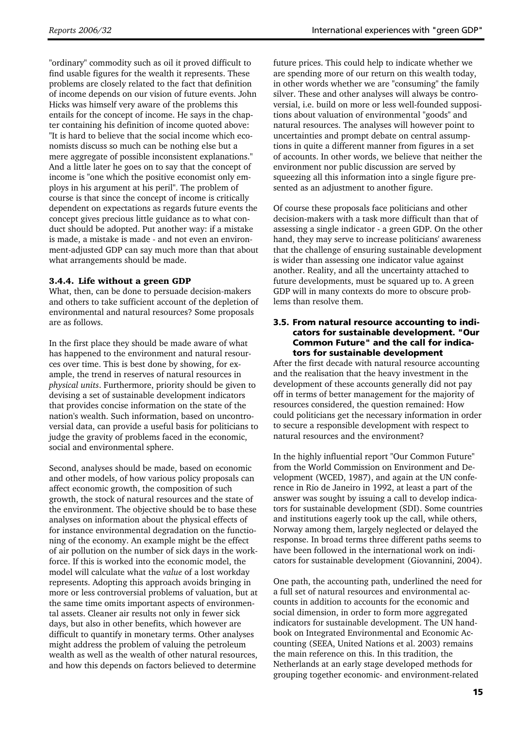"ordinary" commodity such as oil it proved difficult to find usable figures for the wealth it represents. These problems are closely related to the fact that definition of income depends on our vision of future events. John Hicks was himself very aware of the problems this entails for the concept of income. He says in the chapter containing his definition of income quoted above: "It is hard to believe that the social income which economists discuss so much can be nothing else but a mere aggregate of possible inconsistent explanations." And a little later he goes on to say that the concept of income is "one which the positive economist only employs in his argument at his peril". The problem of course is that since the concept of income is critically dependent on expectations as regards future events the concept gives precious little guidance as to what conduct should be adopted. Put another way: if a mistake is made, a mistake is made - and not even an environment-adjusted GDP can say much more than that about what arrangements should be made.

# 3.4.4. Life without a green GDP

What, then, can be done to persuade decision-makers and others to take sufficient account of the depletion of environmental and natural resources? Some proposals are as follows.

In the first place they should be made aware of what has happened to the environment and natural resources over time. This is best done by showing, for example, the trend in reserves of natural resources in *physical units*. Furthermore, priority should be given to devising a set of sustainable development indicators that provides concise information on the state of the nation's wealth. Such information, based on uncontroversial data, can provide a useful basis for politicians to judge the gravity of problems faced in the economic, social and environmental sphere.

Second, analyses should be made, based on economic and other models, of how various policy proposals can affect economic growth, the composition of such growth, the stock of natural resources and the state of the environment. The objective should be to base these analyses on information about the physical effects of for instance environmental degradation on the functioning of the economy. An example might be the effect of air pollution on the number of sick days in the workforce. If this is worked into the economic model, the model will calculate what the *value* of a lost workday represents. Adopting this approach avoids bringing in more or less controversial problems of valuation, but at the same time omits important aspects of environmental assets. Cleaner air results not only in fewer sick days, but also in other benefits, which however are difficult to quantify in monetary terms. Other analyses might address the problem of valuing the petroleum wealth as well as the wealth of other natural resources, and how this depends on factors believed to determine

future prices. This could help to indicate whether we are spending more of our return on this wealth today, in other words whether we are "consuming" the family silver. These and other analyses will always be controversial, i.e. build on more or less well-founded suppositions about valuation of environmental "goods" and natural resources. The analyses will however point to uncertainties and prompt debate on central assumptions in quite a different manner from figures in a set of accounts. In other words, we believe that neither the environment nor public discussion are served by squeezing all this information into a single figure presented as an adjustment to another figure.

Of course these proposals face politicians and other decision-makers with a task more difficult than that of assessing a single indicator - a green GDP. On the other hand, they may serve to increase politicians' awareness that the challenge of ensuring sustainable development is wider than assessing one indicator value against another. Reality, and all the uncertainty attached to future developments, must be squared up to. A green GDP will in many contexts do more to obscure problems than resolve them.

#### **3.5. From natural resource accounting to indicators for sustainable development. "Our Common Future" and the call for indicators for sustainable development**

After the first decade with natural resource accounting and the realisation that the heavy investment in the development of these accounts generally did not pay off in terms of better management for the majority of resources considered, the question remained: How could politicians get the necessary information in order to secure a responsible development with respect to natural resources and the environment?

In the highly influential report "Our Common Future" from the World Commission on Environment and Development (WCED, 1987), and again at the UN conference in Rio de Janeiro in 1992, at least a part of the answer was sought by issuing a call to develop indicators for sustainable development (SDI). Some countries and institutions eagerly took up the call, while others, Norway among them, largely neglected or delayed the response. In broad terms three different paths seems to have been followed in the international work on indicators for sustainable development (Giovannini, 2004).

One path, the accounting path, underlined the need for a full set of natural resources and environmental accounts in addition to accounts for the economic and social dimension, in order to form more aggregated indicators for sustainable development. The UN handbook on Integrated Environmental and Economic Accounting (SEEA, United Nations et al. 2003) remains the main reference on this. In this tradition, the Netherlands at an early stage developed methods for grouping together economic- and environment-related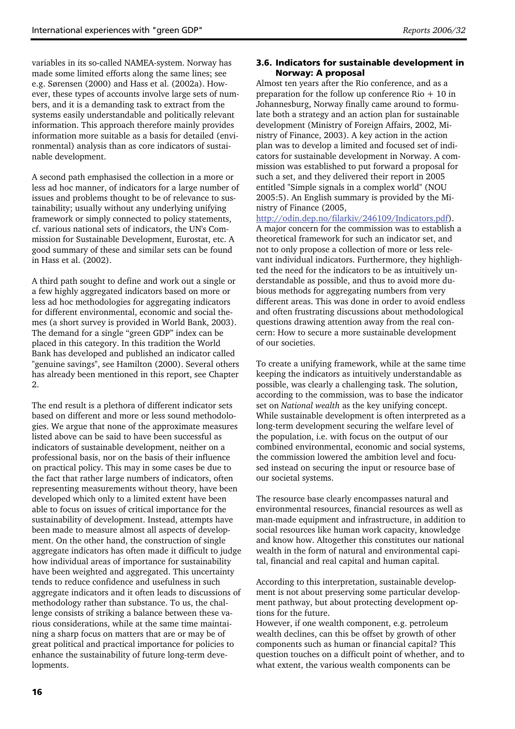variables in its so-called NAMEA-system. Norway has made some limited efforts along the same lines; see e.g. Sørensen (2000) and Hass et al. (2002a). However, these types of accounts involve large sets of numbers, and it is a demanding task to extract from the systems easily understandable and politically relevant information. This approach therefore mainly provides information more suitable as a basis for detailed (environmental) analysis than as core indicators of sustainable development.

A second path emphasised the collection in a more or less ad hoc manner, of indicators for a large number of issues and problems thought to be of relevance to sustainability; usually without any underlying unifying framework or simply connected to policy statements, cf. various national sets of indicators, the UN's Commission for Sustainable Development, Eurostat, etc. A good summary of these and similar sets can be found in Hass et al. (2002).

A third path sought to define and work out a single or a few highly aggregated indicators based on more or less ad hoc methodologies for aggregating indicators for different environmental, economic and social themes (a short survey is provided in World Bank, 2003). The demand for a single "green GDP" index can be placed in this category. In this tradition the World Bank has developed and published an indicator called "genuine savings", see Hamilton (2000). Several others has already been mentioned in this report, see Chapter  $2.5$ 

The end result is a plethora of different indicator sets based on different and more or less sound methodologies. We argue that none of the approximate measures listed above can be said to have been successful as indicators of sustainable development, neither on a professional basis, nor on the basis of their influence on practical policy. This may in some cases be due to the fact that rather large numbers of indicators, often representing measurements without theory, have been developed which only to a limited extent have been able to focus on issues of critical importance for the sustainability of development. Instead, attempts have been made to measure almost all aspects of development. On the other hand, the construction of single aggregate indicators has often made it difficult to judge how individual areas of importance for sustainability have been weighted and aggregated. This uncertainty tends to reduce confidence and usefulness in such aggregate indicators and it often leads to discussions of methodology rather than substance. To us, the challenge consists of striking a balance between these various considerations, while at the same time maintaining a sharp focus on matters that are or may be of great political and practical importance for policies to enhance the sustainability of future long-term developments.

# **3.6. Indicators for sustainable development in Norway: A proposal**

Almost ten years after the Rio conference, and as a preparation for the follow up conference Rio  $+10$  in Johannesburg, Norway finally came around to formulate both a strategy and an action plan for sustainable development (Ministry of Foreign Affairs, 2002, Ministry of Finance, 2003). A key action in the action plan was to develop a limited and focused set of indicators for sustainable development in Norway. A commission was established to put forward a proposal for such a set, and they delivered their report in 2005 entitled "Simple signals in a complex world" (NOU 2005:5). An English summary is provided by the Ministry of Finance (2005,

http://odin.dep.no/filarkiv/246109/Indicators.pdf). A major concern for the commission was to establish a theoretical framework for such an indicator set, and not to only propose a collection of more or less relevant individual indicators. Furthermore, they highlighted the need for the indicators to be as intuitively understandable as possible, and thus to avoid more dubious methods for aggregating numbers from very different areas. This was done in order to avoid endless and often frustrating discussions about methodological questions drawing attention away from the real concern: How to secure a more sustainable development of our societies.

To create a unifying framework, while at the same time keeping the indicators as intuitively understandable as possible, was clearly a challenging task. The solution, according to the commission, was to base the indicator set on *National wealth* as the key unifying concept. While sustainable development is often interpreted as a long-term development securing the welfare level of the population, i.e. with focus on the output of our combined environmental, economic and social systems, the commission lowered the ambition level and focused instead on securing the input or resource base of our societal systems.

The resource base clearly encompasses natural and environmental resources, financial resources as well as man-made equipment and infrastructure, in addition to social resources like human work capacity, knowledge and know how. Altogether this constitutes our national wealth in the form of natural and environmental capital, financial and real capital and human capital.

According to this interpretation, sustainable development is not about preserving some particular development pathway, but about protecting development options for the future.

However, if one wealth component, e.g. petroleum wealth declines, can this be offset by growth of other components such as human or financial capital? This question touches on a difficult point of whether, and to what extent, the various wealth components can be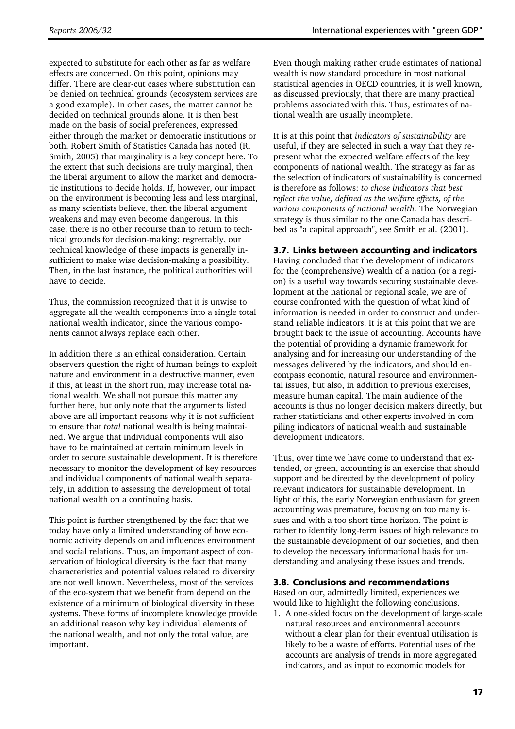expected to substitute for each other as far as welfare effects are concerned. On this point, opinions may differ. There are clear-cut cases where substitution can be denied on technical grounds (ecosystem services are a good example). In other cases, the matter cannot be decided on technical grounds alone. It is then best made on the basis of social preferences, expressed either through the market or democratic institutions or both. Robert Smith of Statistics Canada has noted (R. Smith, 2005) that marginality is a key concept here. To the extent that such decisions are truly marginal, then the liberal argument to allow the market and democratic institutions to decide holds. If, however, our impact on the environment is becoming less and less marginal, as many scientists believe, then the liberal argument weakens and may even become dangerous. In this case, there is no other recourse than to return to technical grounds for decision-making; regrettably, our technical knowledge of these impacts is generally insufficient to make wise decision-making a possibility. Then, in the last instance, the political authorities will have to decide.

Thus, the commission recognized that it is unwise to aggregate all the wealth components into a single total national wealth indicator, since the various components cannot always replace each other.

In addition there is an ethical consideration. Certain observers question the right of human beings to exploit nature and environment in a destructive manner, even if this, at least in the short run, may increase total national wealth. We shall not pursue this matter any further here, but only note that the arguments listed above are all important reasons why it is not sufficient to ensure that *total* national wealth is being maintained. We argue that individual components will also have to be maintained at certain minimum levels in order to secure sustainable development. It is therefore necessary to monitor the development of key resources and individual components of national wealth separately, in addition to assessing the development of total national wealth on a continuing basis.

This point is further strengthened by the fact that we today have only a limited understanding of how economic activity depends on and influences environment and social relations. Thus, an important aspect of conservation of biological diversity is the fact that many characteristics and potential values related to diversity are not well known. Nevertheless, most of the services of the eco-system that we benefit from depend on the existence of a minimum of biological diversity in these systems. These forms of incomplete knowledge provide an additional reason why key individual elements of the national wealth, and not only the total value, are important.

Even though making rather crude estimates of national wealth is now standard procedure in most national statistical agencies in OECD countries, it is well known, as discussed previously, that there are many practical problems associated with this. Thus, estimates of national wealth are usually incomplete.

It is at this point that *indicators of sustainability* are useful, if they are selected in such a way that they represent what the expected welfare effects of the key components of national wealth. The strategy as far as the selection of indicators of sustainability is concerned is therefore as follows: *to chose indicators that best reflect the value, defined as the welfare effects, of the various components of national wealth.* The Norwegian strategy is thus similar to the one Canada has described as "a capital approach", see Smith et al. (2001).

# **3.7. Links between accounting and indicators**

Having concluded that the development of indicators for the (comprehensive) wealth of a nation (or a region) is a useful way towards securing sustainable development at the national or regional scale, we are of course confronted with the question of what kind of information is needed in order to construct and understand reliable indicators. It is at this point that we are brought back to the issue of accounting. Accounts have the potential of providing a dynamic framework for analysing and for increasing our understanding of the messages delivered by the indicators, and should encompass economic, natural resource and environmental issues, but also, in addition to previous exercises, measure human capital. The main audience of the accounts is thus no longer decision makers directly, but rather statisticians and other experts involved in compiling indicators of national wealth and sustainable development indicators.

Thus, over time we have come to understand that extended, or green, accounting is an exercise that should support and be directed by the development of policy relevant indicators for sustainable development. In light of this, the early Norwegian enthusiasm for green accounting was premature, focusing on too many issues and with a too short time horizon. The point is rather to identify long-term issues of high relevance to the sustainable development of our societies, and then to develop the necessary informational basis for understanding and analysing these issues and trends.

# **3.8. Conclusions and recommendations**

Based on our, admittedly limited, experiences we would like to highlight the following conclusions.

1. A one-sided focus on the development of large-scale natural resources and environmental accounts without a clear plan for their eventual utilisation is likely to be a waste of efforts. Potential uses of the accounts are analysis of trends in more aggregated indicators, and as input to economic models for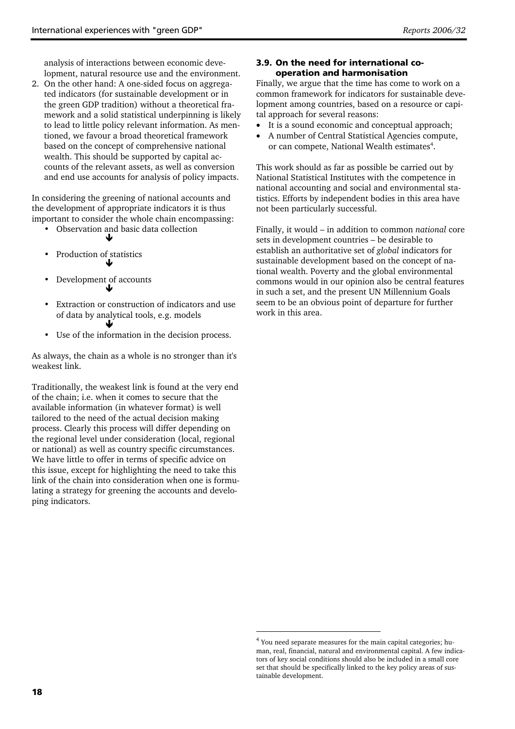analysis of interactions between economic development, natural resource use and the environment.

2. On the other hand: A one-sided focus on aggregated indicators (for sustainable development or in the green GDP tradition) without a theoretical framework and a solid statistical underpinning is likely to lead to little policy relevant information. As mentioned, we favour a broad theoretical framework based on the concept of comprehensive national wealth. This should be supported by capital accounts of the relevant assets, as well as conversion and end use accounts for analysis of policy impacts.

In considering the greening of national accounts and the development of appropriate indicators it is thus important to consider the whole chain encompassing:

• Observation and basic data collection

Ð

- Production of statistics Ð
- Development of accounts Ð
- Extraction or construction of indicators and use of data by analytical tools, e.g. models Ð
- Use of the information in the decision process.

As always, the chain as a whole is no stronger than it's weakest link.

Traditionally, the weakest link is found at the very end of the chain; i.e. when it comes to secure that the available information (in whatever format) is well tailored to the need of the actual decision making process. Clearly this process will differ depending on the regional level under consideration (local, regional or national) as well as country specific circumstances. We have little to offer in terms of specific advice on this issue, except for highlighting the need to take this link of the chain into consideration when one is formulating a strategy for greening the accounts and developing indicators.

### **3.9. On the need for international cooperation and harmonisation**

Finally, we argue that the time has come to work on a common framework for indicators for sustainable development among countries, based on a resource or capital approach for several reasons:

- It is a sound economic and conceptual approach;
- A number of Central Statistical Agencies compute, or can compete, National Wealth estimates<sup>4</sup>.

This work should as far as possible be carried out by National Statistical Institutes with the competence in national accounting and social and environmental statistics. Efforts by independent bodies in this area have not been particularly successful.

Finally, it would – in addition to common *national* core sets in development countries – be desirable to establish an authoritative set of *global* indicators for sustainable development based on the concept of national wealth. Poverty and the global environmental commons would in our opinion also be central features in such a set, and the present UN Millennium Goals seem to be an obvious point of departure for further work in this area.

-

<sup>&</sup>lt;sup>4</sup> You need separate measures for the main capital categories; human, real, financial, natural and environmental capital. A few indicators of key social conditions should also be included in a small core set that should be specifically linked to the key policy areas of sustainable development.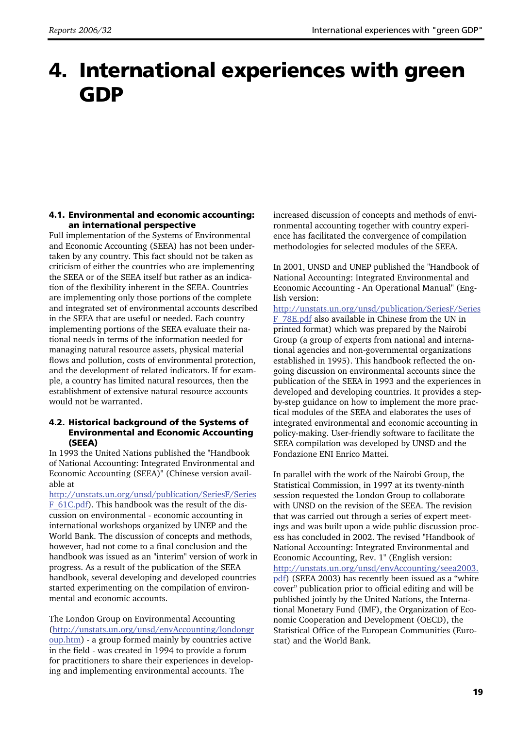# **4. International experiences with green GDP**

# **4.1. Environmental and economic accounting: an international perspective**

Full implementation of the Systems of Environmental and Economic Accounting (SEEA) has not been undertaken by any country. This fact should not be taken as criticism of either the countries who are implementing the SEEA or of the SEEA itself but rather as an indication of the flexibility inherent in the SEEA. Countries are implementing only those portions of the complete and integrated set of environmental accounts described in the SEEA that are useful or needed. Each country implementing portions of the SEEA evaluate their national needs in terms of the information needed for managing natural resource assets, physical material flows and pollution, costs of environmental protection, and the development of related indicators. If for example, a country has limited natural resources, then the establishment of extensive natural resource accounts would not be warranted.

# **4.2. Historical background of the Systems of Environmental and Economic Accounting (SEEA)**

In 1993 the United Nations published the "Handbook of National Accounting: Integrated Environmental and Economic Accounting (SEEA)" (Chinese version available at

http://unstats.un.org/unsd/publication/SeriesF/Series F\_61C.pdf). This handbook was the result of the discussion on environmental - economic accounting in international workshops organized by UNEP and the World Bank. The discussion of concepts and methods, however, had not come to a final conclusion and the handbook was issued as an "interim" version of work in progress. As a result of the publication of the SEEA handbook, several developing and developed countries started experimenting on the compilation of environmental and economic accounts.

The London Group on Environmental Accounting (http://unstats.un.org/unsd/envAccounting/londongr oup.htm) - a group formed mainly by countries active in the field - was created in 1994 to provide a forum for practitioners to share their experiences in developing and implementing environmental accounts. The

increased discussion of concepts and methods of environmental accounting together with country experience has facilitated the convergence of compilation methodologies for selected modules of the SEEA.

In 2001, UNSD and UNEP published the "Handbook of National Accounting: Integrated Environmental and Economic Accounting - An Operational Manual" (English version:

http://unstats.un.org/unsd/publication/SeriesF/Series F\_78E.pdf also available in Chinese from the UN in printed format) which was prepared by the Nairobi Group (a group of experts from national and international agencies and non-governmental organizations established in 1995). This handbook reflected the ongoing discussion on environmental accounts since the publication of the SEEA in 1993 and the experiences in developed and developing countries. It provides a stepby-step guidance on how to implement the more practical modules of the SEEA and elaborates the uses of integrated environmental and economic accounting in policy-making. User-friendly software to facilitate the SEEA compilation was developed by UNSD and the Fondazione ENI Enrico Mattei.

In parallel with the work of the Nairobi Group, the Statistical Commission, in 1997 at its twenty-ninth session requested the London Group to collaborate with UNSD on the revision of the SEEA. The revision that was carried out through a series of expert meetings and was built upon a wide public discussion process has concluded in 2002. The revised "Handbook of National Accounting: Integrated Environmental and Economic Accounting, Rev. 1" (English version: http://unstats.un.org/unsd/envAccounting/seea2003. pdf) (SEEA 2003) has recently been issued as a "white cover" publication prior to official editing and will be published jointly by the United Nations, the International Monetary Fund (IMF), the Organization of Economic Cooperation and Development (OECD), the Statistical Office of the European Communities (Eurostat) and the World Bank.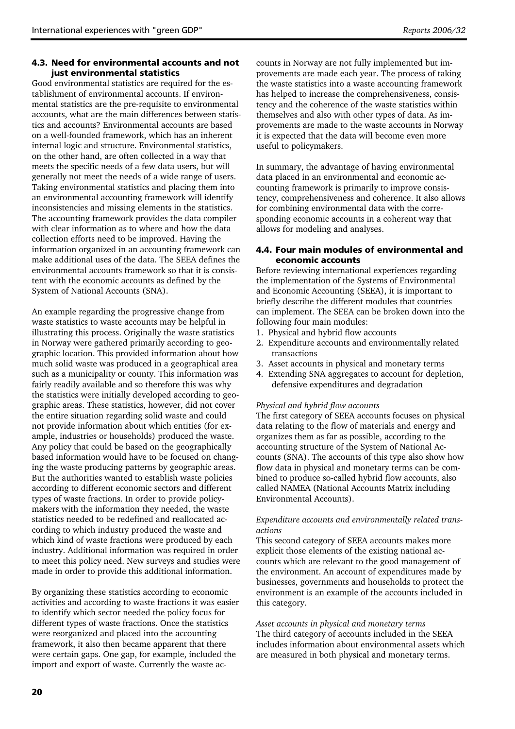#### **4.3. Need for environmental accounts and not just environmental statistics**

Good environmental statistics are required for the establishment of environmental accounts. If environmental statistics are the pre-requisite to environmental accounts, what are the main differences between statistics and accounts? Environmental accounts are based on a well-founded framework, which has an inherent internal logic and structure. Environmental statistics, on the other hand, are often collected in a way that meets the specific needs of a few data users, but will generally not meet the needs of a wide range of users. Taking environmental statistics and placing them into an environmental accounting framework will identify inconsistencies and missing elements in the statistics. The accounting framework provides the data compiler with clear information as to where and how the data collection efforts need to be improved. Having the information organized in an accounting framework can make additional uses of the data. The SEEA defines the environmental accounts framework so that it is consistent with the economic accounts as defined by the System of National Accounts (SNA).

An example regarding the progressive change from waste statistics to waste accounts may be helpful in illustrating this process. Originally the waste statistics in Norway were gathered primarily according to geographic location. This provided information about how much solid waste was produced in a geographical area such as a municipality or county. This information was fairly readily available and so therefore this was why the statistics were initially developed according to geographic areas. These statistics, however, did not cover the entire situation regarding solid waste and could not provide information about which entities (for example, industries or households) produced the waste. Any policy that could be based on the geographically based information would have to be focused on changing the waste producing patterns by geographic areas. But the authorities wanted to establish waste policies according to different economic sectors and different types of waste fractions. In order to provide policymakers with the information they needed, the waste statistics needed to be redefined and reallocated according to which industry produced the waste and which kind of waste fractions were produced by each industry. Additional information was required in order to meet this policy need. New surveys and studies were made in order to provide this additional information.

By organizing these statistics according to economic activities and according to waste fractions it was easier to identify which sector needed the policy focus for different types of waste fractions. Once the statistics were reorganized and placed into the accounting framework, it also then became apparent that there were certain gaps. One gap, for example, included the import and export of waste. Currently the waste accounts in Norway are not fully implemented but improvements are made each year. The process of taking the waste statistics into a waste accounting framework has helped to increase the comprehensiveness, consistency and the coherence of the waste statistics within themselves and also with other types of data. As improvements are made to the waste accounts in Norway it is expected that the data will become even more useful to policymakers.

In summary, the advantage of having environmental data placed in an environmental and economic accounting framework is primarily to improve consistency, comprehensiveness and coherence. It also allows for combining environmental data with the corresponding economic accounts in a coherent way that allows for modeling and analyses.

# **4.4. Four main modules of environmental and economic accounts**

Before reviewing international experiences regarding the implementation of the Systems of Environmental and Economic Accounting (SEEA), it is important to briefly describe the different modules that countries can implement. The SEEA can be broken down into the following four main modules:

- 1. Physical and hybrid flow accounts
- 2. Expenditure accounts and environmentally related transactions
- 3. Asset accounts in physical and monetary terms
- 4. Extending SNA aggregates to account for depletion, defensive expenditures and degradation

# *Physical and hybrid flow accounts*

The first category of SEEA accounts focuses on physical data relating to the flow of materials and energy and organizes them as far as possible, according to the accounting structure of the System of National Accounts (SNA). The accounts of this type also show how flow data in physical and monetary terms can be combined to produce so-called hybrid flow accounts, also called NAMEA (National Accounts Matrix including Environmental Accounts).

## *Expenditure accounts and environmentally related transactions*

This second category of SEEA accounts makes more explicit those elements of the existing national accounts which are relevant to the good management of the environment. An account of expenditures made by businesses, governments and households to protect the environment is an example of the accounts included in this category.

*Asset accounts in physical and monetary terms*  The third category of accounts included in the SEEA includes information about environmental assets which are measured in both physical and monetary terms.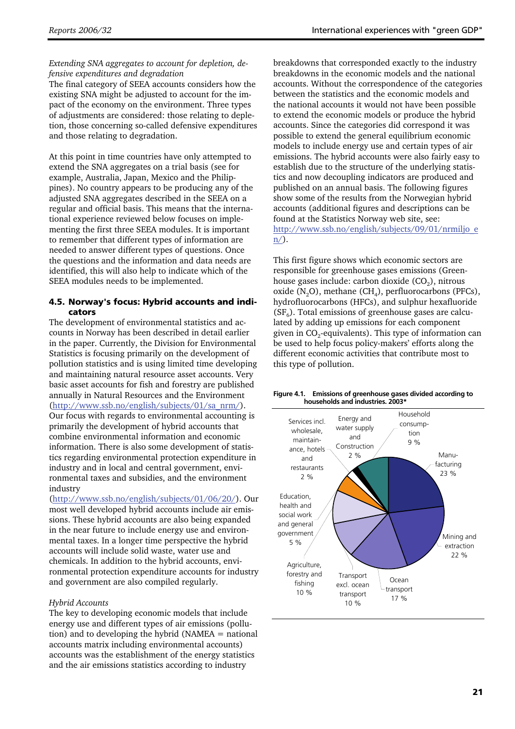# *Extending SNA aggregates to account for depletion, defensive expenditures and degradation*

The final category of SEEA accounts considers how the existing SNA might be adjusted to account for the impact of the economy on the environment. Three types of adjustments are considered: those relating to depletion, those concerning so-called defensive expenditures and those relating to degradation.

At this point in time countries have only attempted to extend the SNA aggregates on a trial basis (see for example, Australia, Japan, Mexico and the Philippines). No country appears to be producing any of the adjusted SNA aggregates described in the SEEA on a regular and official basis. This means that the international experience reviewed below focuses on implementing the first three SEEA modules. It is important to remember that different types of information are needed to answer different types of questions. Once the questions and the information and data needs are identified, this will also help to indicate which of the SEEA modules needs to be implemented.

# **4.5. Norway's focus: Hybrid accounts and indicators**

The development of environmental statistics and accounts in Norway has been described in detail earlier in the paper. Currently, the Division for Environmental Statistics is focusing primarily on the development of pollution statistics and is using limited time developing and maintaining natural resource asset accounts. Very basic asset accounts for fish and forestry are published annually in Natural Resources and the Environment (http://www.ssb.no/english/subjects/01/sa\_nrm/). Our focus with regards to environmental accounting is primarily the development of hybrid accounts that combine environmental information and economic information. There is also some development of statistics regarding environmental protection expenditure in industry and in local and central government, environmental taxes and subsidies, and the environment industry

(http://www.ssb.no/english/subjects/01/06/20/). Our most well developed hybrid accounts include air emissions. These hybrid accounts are also being expanded in the near future to include energy use and environmental taxes. In a longer time perspective the hybrid accounts will include solid waste, water use and chemicals. In addition to the hybrid accounts, environmental protection expenditure accounts for industry and government are also compiled regularly.

# *Hybrid Accounts*

The key to developing economic models that include energy use and different types of air emissions (pollution) and to developing the hybrid (NAMEA  $=$  national accounts matrix including environmental accounts) accounts was the establishment of the energy statistics and the air emissions statistics according to industry

breakdowns that corresponded exactly to the industry breakdowns in the economic models and the national accounts. Without the correspondence of the categories between the statistics and the economic models and the national accounts it would not have been possible to extend the economic models or produce the hybrid accounts. Since the categories did correspond it was possible to extend the general equilibrium economic models to include energy use and certain types of air emissions. The hybrid accounts were also fairly easy to establish due to the structure of the underlying statistics and now decoupling indicators are produced and published on an annual basis. The following figures show some of the results from the Norwegian hybrid accounts (additional figures and descriptions can be found at the Statistics Norway web site, see: http://www.ssb.no/english/subjects/09/01/nrmiljo\_e  $n/$ ).

This first figure shows which economic sectors are responsible for greenhouse gases emissions (Greenhouse gases include: carbon dioxide  $(CO<sub>2</sub>)$ , nitrous oxide  $(N_2O)$ , methane  $(CH_4)$ , perfluorocarbons (PFCs), hydrofluorocarbons (HFCs), and sulphur hexafluoride  $(SF<sub>6</sub>)$ . Total emissions of greenhouse gases are calculated by adding up emissions for each component given in CO<sub>2</sub>-equivalents). This type of information can be used to help focus policy-makers' efforts along the different economic activities that contribute most to this type of pollution.

#### **Figure 4.1. Emissions of greenhouse gases divided according to households and industries. 2003\***

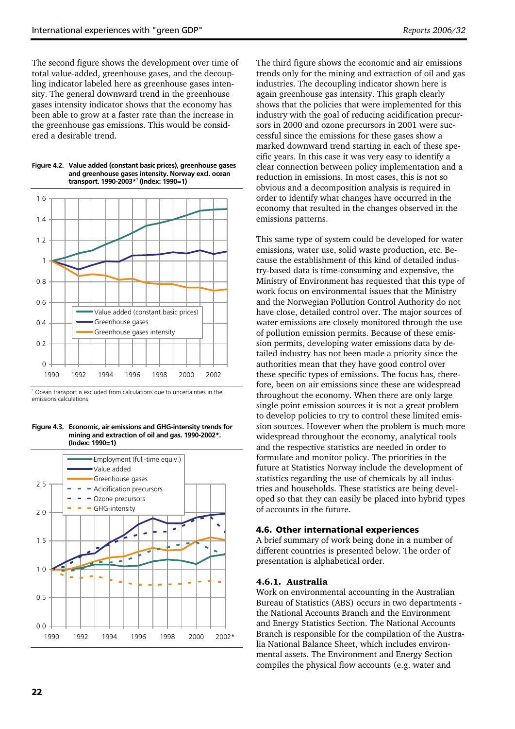The second figure shows the development over time of total value-added, greenhouse gases, and the decoupling indicator labeled here as greenhouse gases intensity. The general downward trend in the greenhouse gases intensity indicator shows that the economy has been able to grow at a faster rate than the increase in the greenhouse gas emissions. This would be considered a desirable trend.

| Figure 4.2. Value added (constant basic prices), greenhouse gases |
|-------------------------------------------------------------------|
| and greenhouse gases intensity. Norway excl. ocean                |
| transport. 1990-2003*1 (Index: 1990=1)                            |



<sup>1</sup> Ocean transport is excluded from calculations due to uncertainties in the emissions calculations

**Figure 4.3. Economic, air emissions and GHG-intensity trends for mining and extraction of oil and gas. 1990-2002\*. (Index: 1990=1)** 



The third figure shows the economic and air emissions trends only for the mining and extraction of oil and gas industries. The decoupling indicator shown here is again greenhouse gas intensity. This graph clearly shows that the policies that were implemented for this industry with the goal of reducing acidification precursors in 2000 and ozone precursors in 2001 were successful since the emissions for these gases show a marked downward trend starting in each of these specific years. In this case it was very easy to identify a clear connection between policy implementation and a reduction in emissions. In most cases, this is not so obvious and a decomposition analysis is required in order to identify what changes have occurred in the economy that resulted in the changes observed in the emissions patterns.

This same type of system could be developed for water emissions, water use, solid waste production, etc. Because the establishment of this kind of detailed industry-based data is time-consuming and expensive, the Ministry of Environment has requested that this type of work focus on environmental issues that the Ministry and the Norwegian Pollution Control Authority do not have close, detailed control over. The major sources of water emissions are closely monitored through the use of pollution emission permits. Because of these emission permits, developing water emissions data by detailed industry has not been made a priority since the authorities mean that they have good control over these specific types of emissions. The focus has, therefore, been on air emissions since these are widespread throughout the economy. When there are only large single point emission sources it is not a great problem to develop policies to try to control these limited emission sources. However when the problem is much more widespread throughout the economy, analytical tools and the respective statistics are needed in order to formulate and monitor policy. The priorities in the future at Statistics Norway include the development of statistics regarding the use of chemicals by all industries and households. These statistics are being developed so that they can easily be placed into hybrid types of accounts in the future.

# **4.6. Other international experiences**

A brief summary of work being done in a number of different countries is presented below. The order of presentation is alphabetical order.

#### 4.6.1. Australia

Work on environmental accounting in the Australian Bureau of Statistics (ABS) occurs in two departments the National Accounts Branch and the Environment and Energy Statistics Section. The National Accounts Branch is responsible for the compilation of the Australia National Balance Sheet, which includes environmental assets. The Environment and Energy Section compiles the physical flow accounts (e.g. water and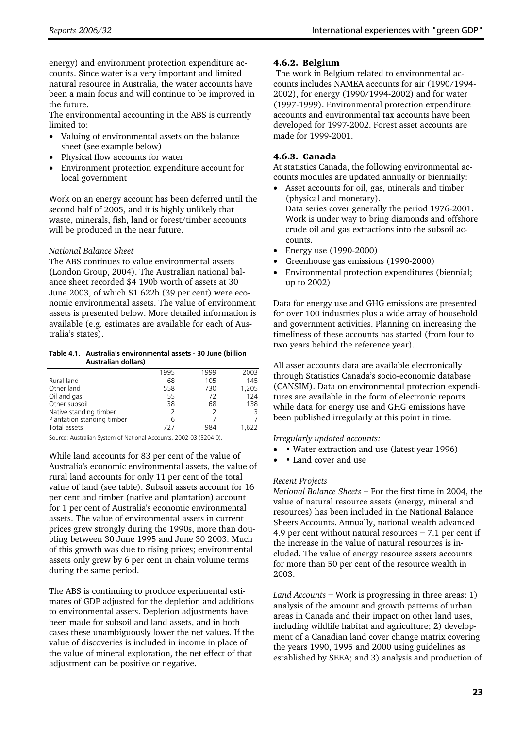energy) and environment protection expenditure accounts. Since water is a very important and limited natural resource in Australia, the water accounts have been a main focus and will continue to be improved in the future.

The environmental accounting in the ABS is currently limited to:

- Valuing of environmental assets on the balance sheet (see example below)
- Physical flow accounts for water
- Environment protection expenditure account for local government

Work on an energy account has been deferred until the second half of 2005, and it is highly unlikely that waste, minerals, fish, land or forest/timber accounts will be produced in the near future.

# *National Balance Sheet*

The ABS continues to value environmental assets (London Group, 2004). The Australian national balance sheet recorded \$4 190b worth of assets at 30 June 2003, of which \$1 622b (39 per cent) were economic environmental assets. The value of environment assets is presented below. More detailed information is available (e.g. estimates are available for each of Australia's states).

#### **Table 4.1. Australia's environmental assets - 30 June (billion Australian dollars)**

|                            | 1995 | 1999 | 2003  |
|----------------------------|------|------|-------|
| Rural land                 | 68   | 105  | 145   |
| Other land                 | 558  | 730  | 1,205 |
| Oil and gas                | 55   | 72   | 124   |
| Other subsoil              | 38   | 68   | 138   |
| Native standing timber     | 2    |      |       |
| Plantation standing timber | 6    |      |       |
| Total assets               | 727  | 984  | .622  |
|                            |      |      |       |

Source: Australian System of National Accounts, 2002-03 (5204.0).

While land accounts for 83 per cent of the value of Australia's economic environmental assets, the value of rural land accounts for only 11 per cent of the total value of land (see table). Subsoil assets account for 16 per cent and timber (native and plantation) account for 1 per cent of Australia's economic environmental assets. The value of environmental assets in current prices grew strongly during the 1990s, more than doubling between 30 June 1995 and June 30 2003. Much of this growth was due to rising prices; environmental assets only grew by 6 per cent in chain volume terms during the same period.

The ABS is continuing to produce experimental estimates of GDP adjusted for the depletion and additions to environmental assets. Depletion adjustments have been made for subsoil and land assets, and in both cases these unambiguously lower the net values. If the value of discoveries is included in income in place of the value of mineral exploration, the net effect of that adjustment can be positive or negative.

# 4.6.2. Belgium

 The work in Belgium related to environmental accounts includes NAMEA accounts for air (1990/1994- 2002), for energy (1990/1994-2002) and for water (1997-1999). Environmental protection expenditure accounts and environmental tax accounts have been developed for 1997-2002. Forest asset accounts are made for 1999-2001.

# 4.6.3. Canada

At statistics Canada, the following environmental accounts modules are updated annually or biennially:

- Asset accounts for oil, gas, minerals and timber (physical and monetary). Data series cover generally the period 1976-2001. Work is under way to bring diamonds and offshore crude oil and gas extractions into the subsoil accounts.
- Energy use (1990-2000)
- Greenhouse gas emissions (1990-2000)
- Environmental protection expenditures (biennial; up to 2002)

Data for energy use and GHG emissions are presented for over 100 industries plus a wide array of household and government activities. Planning on increasing the timeliness of these accounts has started (from four to two years behind the reference year).

All asset accounts data are available electronically through Statistics Canada's socio-economic database (CANSIM). Data on environmental protection expenditures are available in the form of electronic reports while data for energy use and GHG emissions have been published irregularly at this point in time.

*Irregularly updated accounts:* 

- Water extraction and use (latest year 1996)
- • Land cover and use

#### *Recent Projects*

*National Balance Sheets* − For the first time in 2004, the value of natural resource assets (energy, mineral and resources) has been included in the National Balance Sheets Accounts. Annually, national wealth advanced 4.9 per cent without natural resources − 7.1 per cent if the increase in the value of natural resources is included. The value of energy resource assets accounts for more than 50 per cent of the resource wealth in 2003.

*Land Accounts* − Work is progressing in three areas: 1) analysis of the amount and growth patterns of urban areas in Canada and their impact on other land uses, including wildlife habitat and agriculture; 2) development of a Canadian land cover change matrix covering the years 1990, 1995 and 2000 using guidelines as established by SEEA; and 3) analysis and production of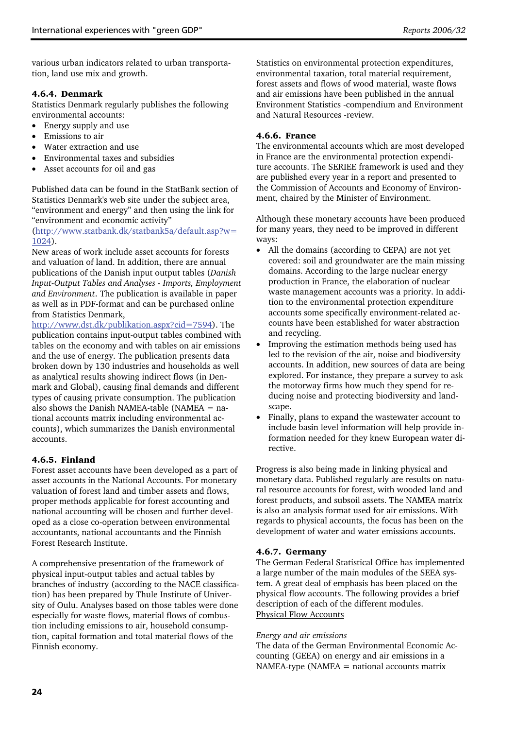various urban indicators related to urban transportation, land use mix and growth.

# 4.6.4. Denmark

Statistics Denmark regularly publishes the following environmental accounts:

- Energy supply and use
- Emissions to air
- Water extraction and use
- Environmental taxes and subsidies
- Asset accounts for oil and gas

Published data can be found in the StatBank section of Statistics Denmark's web site under the subject area, "environment and energy" and then using the link for "environment and economic activity"

# (http://www.statbank.dk/statbank5a/default.asp?w= 1024).

New areas of work include asset accounts for forests and valuation of land. In addition, there are annual publications of the Danish input output tables (*Danish Input-Output Tables and Analyses - Imports, Employment and Environment*. The publication is available in paper as well as in PDF-format and can be purchased online from Statistics Denmark,

http://www.dst.dk/publikation.aspx?cid=7594). The publication contains input-output tables combined with tables on the economy and with tables on air emissions and the use of energy. The publication presents data broken down by 130 industries and households as well as analytical results showing indirect flows (in Denmark and Global), causing final demands and different types of causing private consumption. The publication also shows the Danish NAMEA-table (NAMEA  $=$  national accounts matrix including environmental accounts), which summarizes the Danish environmental accounts.

# 4.6.5. Finland

Forest asset accounts have been developed as a part of asset accounts in the National Accounts. For monetary valuation of forest land and timber assets and flows, proper methods applicable for forest accounting and national accounting will be chosen and further developed as a close co-operation between environmental accountants, national accountants and the Finnish Forest Research Institute.

A comprehensive presentation of the framework of physical input-output tables and actual tables by branches of industry (according to the NACE classification) has been prepared by Thule Institute of University of Oulu. Analyses based on those tables were done especially for waste flows, material flows of combustion including emissions to air, household consumption, capital formation and total material flows of the Finnish economy.

Statistics on environmental protection expenditures, environmental taxation, total material requirement, forest assets and flows of wood material, waste flows and air emissions have been published in the annual Environment Statistics -compendium and Environment and Natural Resources -review.

# 4.6.6. France

The environmental accounts which are most developed in France are the environmental protection expenditure accounts. The SERIEE framework is used and they are published every year in a report and presented to the Commission of Accounts and Economy of Environment, chaired by the Minister of Environment.

Although these monetary accounts have been produced for many years, they need to be improved in different ways:

- All the domains (according to CEPA) are not yet covered: soil and groundwater are the main missing domains. According to the large nuclear energy production in France, the elaboration of nuclear waste management accounts was a priority. In addition to the environmental protection expenditure accounts some specifically environment-related accounts have been established for water abstraction and recycling.
- Improving the estimation methods being used has led to the revision of the air, noise and biodiversity accounts. In addition, new sources of data are being explored. For instance, they prepare a survey to ask the motorway firms how much they spend for reducing noise and protecting biodiversity and landscape.
- Finally, plans to expand the wastewater account to include basin level information will help provide information needed for they knew European water directive.

Progress is also being made in linking physical and monetary data. Published regularly are results on natural resource accounts for forest, with wooded land and forest products, and subsoil assets. The NAMEA matrix is also an analysis format used for air emissions. With regards to physical accounts, the focus has been on the development of water and water emissions accounts.

# 4.6.7. Germany

The German Federal Statistical Office has implemented a large number of the main modules of the SEEA system. A great deal of emphasis has been placed on the physical flow accounts. The following provides a brief description of each of the different modules. Physical Flow Accounts

# *Energy and air emissions*

The data of the German Environmental Economic Accounting (GEEA) on energy and air emissions in a  $NAMEA-type (NAMEA = national accounts matrix)$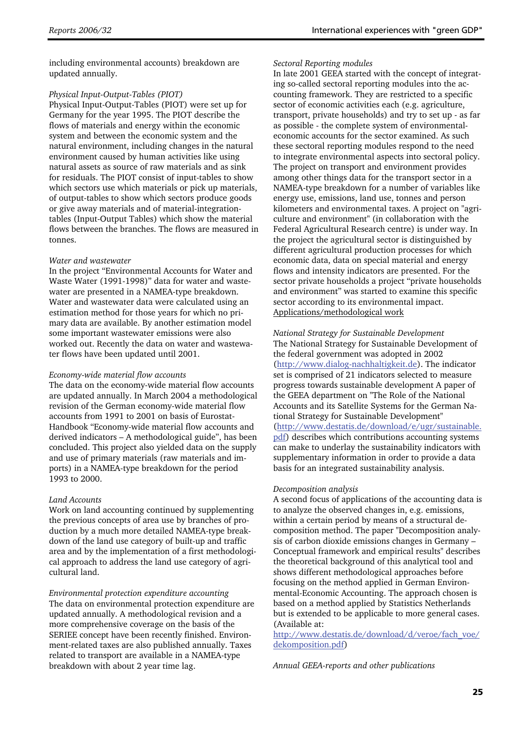including environmental accounts) breakdown are updated annually.

# *Physical Input-Output-Tables (PIOT)*

Physical Input-Output-Tables (PIOT) were set up for Germany for the year 1995. The PIOT describe the flows of materials and energy within the economic system and between the economic system and the natural environment, including changes in the natural environment caused by human activities like using natural assets as source of raw materials and as sink for residuals. The PIOT consist of input-tables to show which sectors use which materials or pick up materials, of output-tables to show which sectors produce goods or give away materials and of material-integrationtables (Input-Output Tables) which show the material flows between the branches. The flows are measured in tonnes.

## *Water and wastewater*

In the project "Environmental Accounts for Water and Waste Water (1991-1998)" data for water and wastewater are presented in a NAMEA-type breakdown. Water and wastewater data were calculated using an estimation method for those years for which no primary data are available. By another estimation model some important wastewater emissions were also worked out. Recently the data on water and wastewater flows have been updated until 2001.

# *Economy-wide material flow accounts*

The data on the economy-wide material flow accounts are updated annually. In March 2004 a methodological revision of the German economy-wide material flow accounts from 1991 to 2001 on basis of Eurostat-Handbook "Economy-wide material flow accounts and derived indicators – A methodological guide", has been concluded. This project also yielded data on the supply and use of primary materials (raw materials and imports) in a NAMEA-type breakdown for the period 1993 to 2000.

# *Land Accounts*

Work on land accounting continued by supplementing the previous concepts of area use by branches of production by a much more detailed NAMEA-type breakdown of the land use category of built-up and traffic area and by the implementation of a first methodological approach to address the land use category of agricultural land.

*Environmental protection expenditure accounting* The data on environmental protection expenditure are updated annually. A methodological revision and a more comprehensive coverage on the basis of the SERIEE concept have been recently finished. Environment-related taxes are also published annually. Taxes related to transport are available in a NAMEA-type breakdown with about 2 year time lag.

# *Sectoral Reporting modules*

In late 2001 GEEA started with the concept of integrating so-called sectoral reporting modules into the accounting framework. They are restricted to a specific sector of economic activities each (e.g. agriculture, transport, private households) and try to set up - as far as possible - the complete system of environmentaleconomic accounts for the sector examined. As such these sectoral reporting modules respond to the need to integrate environmental aspects into sectoral policy. The project on transport and environment provides among other things data for the transport sector in a NAMEA-type breakdown for a number of variables like energy use, emissions, land use, tonnes and person kilometers and environmental taxes. A project on "agriculture and environment" (in collaboration with the Federal Agricultural Research centre) is under way. In the project the agricultural sector is distinguished by different agricultural production processes for which economic data, data on special material and energy flows and intensity indicators are presented. For the sector private households a project "private households and environment" was started to examine this specific sector according to its environmental impact. Applications/methodological work

*National Strategy for Sustainable Development*  The National Strategy for Sustainable Development of the federal government was adopted in 2002 (http://www.dialog-nachhaltigkeit.de). The indicator set is comprised of 21 indicators selected to measure progress towards sustainable development A paper of the GEEA department on "The Role of the National Accounts and its Satellite Systems for the German National Strategy for Sustainable Development" (http://www.destatis.de/download/e/ugr/sustainable. pdf) describes which contributions accounting systems can make to underlay the sustainability indicators with supplementary information in order to provide a data basis for an integrated sustainability analysis.

# *Decomposition analysis*

A second focus of applications of the accounting data is to analyze the observed changes in, e.g. emissions, within a certain period by means of a structural decomposition method. The paper "Decomposition analysis of carbon dioxide emissions changes in Germany – Conceptual framework and empirical results" describes the theoretical background of this analytical tool and shows different methodological approaches before focusing on the method applied in German Environmental-Economic Accounting. The approach chosen is based on a method applied by Statistics Netherlands but is extended to be applicable to more general cases. (Available at:

http://www.destatis.de/download/d/veroe/fach\_voe/ dekomposition.pdf)

*Annual GEEA-reports and other publications*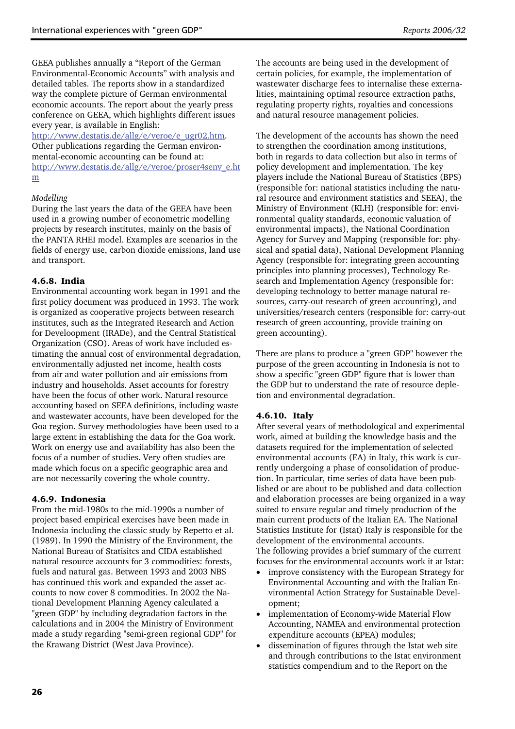GEEA publishes annually a "Report of the German Environmental-Economic Accounts" with analysis and detailed tables. The reports show in a standardized way the complete picture of German environmental economic accounts. The report about the yearly press conference on GEEA, which highlights different issues every year, is available in English:

http://www.destatis.de/allg/e/veroe/e\_ugr02.htm. Other publications regarding the German environmental-economic accounting can be found at: http://www.destatis.de/allg/e/veroe/proser4senv\_e.ht m

# *Modelling*

During the last years the data of the GEEA have been used in a growing number of econometric modelling projects by research institutes, mainly on the basis of the PANTA RHEI model. Examples are scenarios in the fields of energy use, carbon dioxide emissions, land use and transport.

## 4.6.8. India

Environmental accounting work began in 1991 and the first policy document was produced in 1993. The work is organized as cooperative projects between research institutes, such as the Integrated Research and Action for Develoopment (IRADe), and the Central Statistical Organization (CSO). Areas of work have included estimating the annual cost of environmental degradation, environmentally adjusted net income, health costs from air and water pollution and air emissions from industry and households. Asset accounts for forestry have been the focus of other work. Natural resource accounting based on SEEA definitions, including waste and wastewater accounts, have been developed for the Goa region. Survey methodologies have been used to a large extent in establishing the data for the Goa work. Work on energy use and availability has also been the focus of a number of studies. Very often studies are made which focus on a specific geographic area and are not necessarily covering the whole country.

# 4.6.9. Indonesia

From the mid-1980s to the mid-1990s a number of project based empirical exercises have been made in Indonesia including the classic study by Repetto et al. (1989). In 1990 the Ministry of the Environment, the National Bureau of Statisitcs and CIDA established natural resource accounts for 3 commodities: forests, fuels and natural gas. Between 1993 and 2003 NBS has continued this work and expanded the asset accounts to now cover 8 commodities. In 2002 the National Development Planning Agency calculated a "green GDP" by including degradation factors in the calculations and in 2004 the Ministry of Environment made a study regarding "semi-green regional GDP" for the Krawang District (West Java Province).

The accounts are being used in the development of certain policies, for example, the implementation of wastewater discharge fees to internalise these externalities, maintaining optimal resource extraction paths, regulating property rights, royalties and concessions and natural resource management policies.

The development of the accounts has shown the need to strengthen the coordination among institutions, both in regards to data collection but also in terms of policy development and implementation. The key players include the National Bureau of Statistics (BPS) (responsible for: national statistics including the natural resource and environment statistics and SEEA), the Ministry of Environment (KLH) (responsible for: environmental quality standards, economic valuation of environmental impacts), the National Coordination Agency for Survey and Mapping (responsible for: physical and spatial data), National Development Planning Agency (responsible for: integrating green accounting principles into planning processes), Technology Research and Implementation Agency (responsible for: developing technology to better manage natural resources, carry-out research of green accounting), and universities/research centers (responsible for: carry-out research of green accounting, provide training on green accounting).

There are plans to produce a "green GDP" however the purpose of the green accounting in Indonesia is not to show a specific "green GDP" figure that is lower than the GDP but to understand the rate of resource depletion and environmental degradation.

#### 4.6.10. Italy

After several years of methodological and experimental work, aimed at building the knowledge basis and the datasets required for the implementation of selected environmental accounts (EA) in Italy, this work is currently undergoing a phase of consolidation of production. In particular, time series of data have been published or are about to be published and data collection and elaboration processes are being organized in a way suited to ensure regular and timely production of the main current products of the Italian EA. The National Statistics Institute for (Istat) Italy is responsible for the development of the environmental accounts. The following provides a brief summary of the current focuses for the environmental accounts work it at Istat:

- improve consistency with the European Strategy for Environmental Accounting and with the Italian Environmental Action Strategy for Sustainable Development;
- implementation of Economy-wide Material Flow Accounting, NAMEA and environmental protection expenditure accounts (EPEA) modules;
- dissemination of figures through the Istat web site and through contributions to the Istat environment statistics compendium and to the Report on the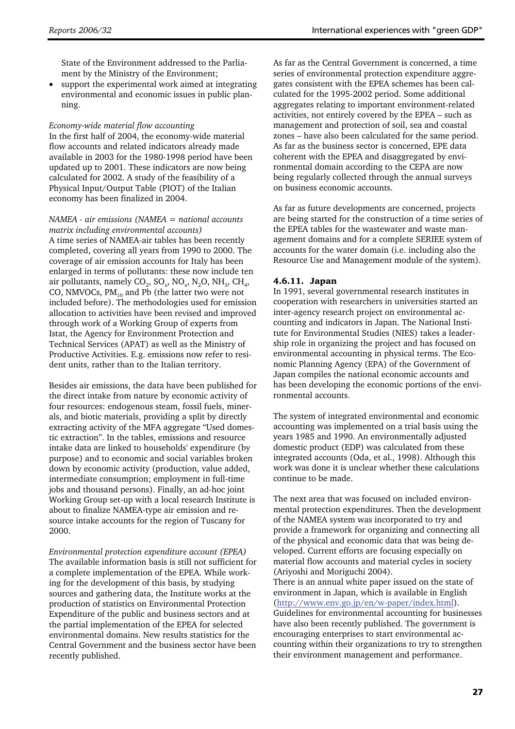State of the Environment addressed to the Parliament by the Ministry of the Environment;

• support the experimental work aimed at integrating environmental and economic issues in public planning.

# *Economy-wide material flow accounting*

In the first half of 2004, the economy-wide material flow accounts and related indicators already made available in 2003 for the 1980-1998 period have been updated up to 2001. These indicators are now being calculated for 2002. A study of the feasibility of a Physical Input/Output Table (PIOT) of the Italian economy has been finalized in 2004.

*NAMEA - air emissions (NAMEA = national accounts matrix including environmental accounts)*  A time series of NAMEA-air tables has been recently completed, covering all years from 1990 to 2000. The coverage of air emission accounts for Italy has been enlarged in terms of pollutants: these now include ten air pollutants, namely  $CO_2$ ,  $SO_x$ ,  $NO_x$ ,  $N_2O$ ,  $NH_3$ ,  $CH_4$ , CO, NMVOCs,  $PM_{10}$  and Pb (the latter two were not included before). The methodologies used for emission allocation to activities have been revised and improved through work of a Working Group of experts from Istat, the Agency for Environment Protection and Technical Services (APAT) as well as the Ministry of Productive Activities. E.g. emissions now refer to resident units, rather than to the Italian territory.

Besides air emissions, the data have been published for the direct intake from nature by economic activity of four resources: endogenous steam, fossil fuels, minerals, and biotic materials, providing a split by directly extracting activity of the MFA aggregate "Used domestic extraction". In the tables, emissions and resource intake data are linked to households' expenditure (by purpose) and to economic and social variables broken down by economic activity (production, value added, intermediate consumption; employment in full-time jobs and thousand persons). Finally, an ad-hoc joint Working Group set-up with a local research Institute is about to finalize NAMEA-type air emission and resource intake accounts for the region of Tuscany for 2000.

*Environmental protection expenditure account (EPEA)* The available information basis is still not sufficient for a complete implementation of the EPEA. While working for the development of this basis, by studying sources and gathering data, the Institute works at the production of statistics on Environmental Protection Expenditure of the public and business sectors and at the partial implementation of the EPEA for selected environmental domains. New results statistics for the Central Government and the business sector have been recently published.

As far as the Central Government is concerned, a time series of environmental protection expenditure aggregates consistent with the EPEA schemes has been calculated for the 1995-2002 period. Some additional aggregates relating to important environment-related activities, not entirely covered by the EPEA – such as management and protection of soil, sea and coastal zones – have also been calculated for the same period. As far as the business sector is concerned, EPE data coherent with the EPEA and disaggregated by environmental domain according to the CEPA are now being regularly collected through the annual surveys on business economic accounts.

As far as future developments are concerned, projects are being started for the construction of a time series of the EPEA tables for the wastewater and waste management domains and for a complete SERIEE system of accounts for the water domain (i.e. including also the Resource Use and Management module of the system).

## 4.6.11. Japan

In 1991, several governmental research institutes in cooperation with researchers in universities started an inter-agency research project on environmental accounting and indicators in Japan. The National Institute for Environmental Studies (NIES) takes a leadership role in organizing the project and has focused on environmental accounting in physical terms. The Economic Planning Agency (EPA) of the Government of Japan compiles the national economic accounts and has been developing the economic portions of the environmental accounts.

The system of integrated environmental and economic accounting was implemented on a trial basis using the years 1985 and 1990. An environmentally adjusted domestic product (EDP) was calculated from these integrated accounts (Oda, et al., 1998). Although this work was done it is unclear whether these calculations continue to be made.

The next area that was focused on included environmental protection expenditures. Then the development of the NAMEA system was incorporated to try and provide a framework for organizing and connecting all of the physical and economic data that was being developed. Current efforts are focusing especially on material flow accounts and material cycles in society (Ariyoshi and Moriguchi 2004). There is an annual white paper issued on the state of environment in Japan, which is available in English

(http://www.env.go.jp/en/w-paper/index.html). Guidelines for environmental accounting for businesses have also been recently published. The government is encouraging enterprises to start environmental accounting within their organizations to try to strengthen their environment management and performance.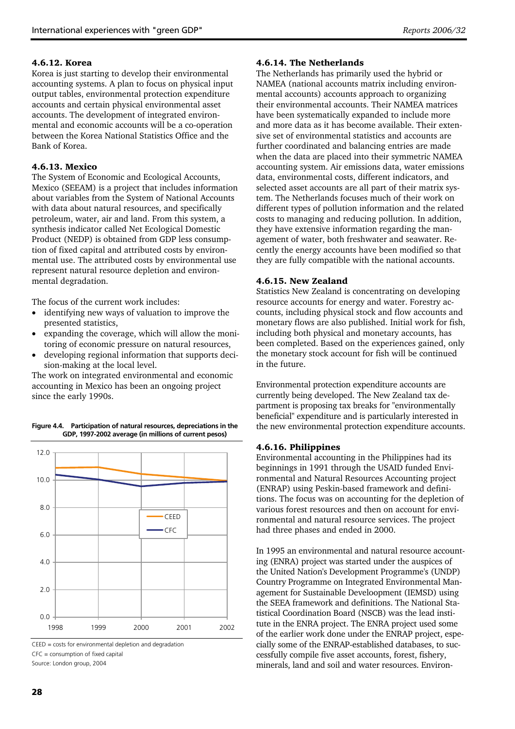# 4.6.12.Korea

Korea is just starting to develop their environmental accounting systems. A plan to focus on physical input output tables, environmental protection expenditure accounts and certain physical environmental asset accounts. The development of integrated environmental and economic accounts will be a co-operation between the Korea National Statistics Office and the Bank of Korea.

# 4.6.13.Mexico

The System of Economic and Ecological Accounts, Mexico (SEEAM) is a project that includes information about variables from the System of National Accounts with data about natural resources, and specifically petroleum, water, air and land. From this system, a synthesis indicator called Net Ecological Domestic Product (NEDP) is obtained from GDP less consumption of fixed capital and attributed costs by environmental use. The attributed costs by environmental use represent natural resource depletion and environmental degradation.

The focus of the current work includes:

- identifying new ways of valuation to improve the presented statistics,
- expanding the coverage, which will allow the monitoring of economic pressure on natural resources,
- developing regional information that supports decision-making at the local level.

The work on integrated environmental and economic accounting in Mexico has been an ongoing project since the early 1990s.







4.6.14.The Netherlands

The Netherlands has primarily used the hybrid or NAMEA (national accounts matrix including environmental accounts) accounts approach to organizing their environmental accounts. Their NAMEA matrices have been systematically expanded to include more and more data as it has become available. Their extensive set of environmental statistics and accounts are further coordinated and balancing entries are made when the data are placed into their symmetric NAMEA accounting system. Air emissions data, water emissions data, environmental costs, different indicators, and selected asset accounts are all part of their matrix system. The Netherlands focuses much of their work on different types of pollution information and the related costs to managing and reducing pollution. In addition, they have extensive information regarding the management of water, both freshwater and seawater. Recently the energy accounts have been modified so that they are fully compatible with the national accounts.

# 4.6.15.New Zealand

Statistics New Zealand is concentrating on developing resource accounts for energy and water. Forestry accounts, including physical stock and flow accounts and monetary flows are also published. Initial work for fish, including both physical and monetary accounts, has been completed. Based on the experiences gained, only the monetary stock account for fish will be continued in the future.

Environmental protection expenditure accounts are currently being developed. The New Zealand tax department is proposing tax breaks for "environmentally beneficial" expenditure and is particularly interested in the new environmental protection expenditure accounts.

# 4.6.16.Philippines

Environmental accounting in the Philippines had its beginnings in 1991 through the USAID funded Environmental and Natural Resources Accounting project (ENRAP) using Peskin-based framework and definitions. The focus was on accounting for the depletion of various forest resources and then on account for environmental and natural resource services. The project had three phases and ended in 2000.

In 1995 an environmental and natural resource accounting (ENRA) project was started under the auspices of the United Nation's Development Programme's (UNDP) Country Programme on Integrated Environmental Management for Sustainable Develoopment (IEMSD) using the SEEA framework and definitions. The National Statistical Coordination Board (NSCB) was the lead institute in the ENRA project. The ENRA project used some of the earlier work done under the ENRAP project, especially some of the ENRAP-established databases, to successfully compile five asset accounts, forest, fishery, minerals, land and soil and water resources. Environ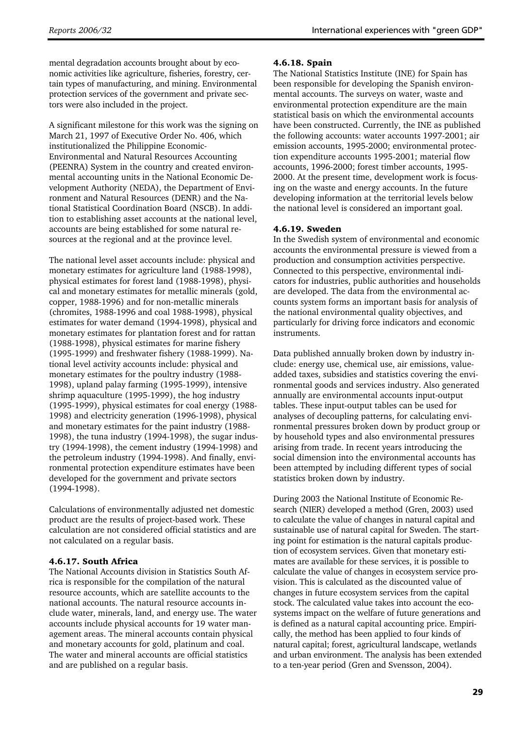mental degradation accounts brought about by economic activities like agriculture, fisheries, forestry, certain types of manufacturing, and mining. Environmental protection services of the government and private sectors were also included in the project.

A significant milestone for this work was the signing on March 21, 1997 of Executive Order No. 406, which institutionalized the Philippine Economic-Environmental and Natural Resources Accounting (PEENRA) System in the country and created environmental accounting units in the National Economic Development Authority (NEDA), the Department of Environment and Natural Resources (DENR) and the National Statistical Coordination Board (NSCB). In addition to establishing asset accounts at the national level, accounts are being established for some natural resources at the regional and at the province level.

The national level asset accounts include: physical and monetary estimates for agriculture land (1988-1998), physical estimates for forest land (1988-1998), physical and monetary estimates for metallic minerals (gold, copper, 1988-1996) and for non-metallic minerals (chromites, 1988-1996 and coal 1988-1998), physical estimates for water demand (1994-1998), physical and monetary estimates for plantation forest and for rattan (1988-1998), physical estimates for marine fishery (1995-1999) and freshwater fishery (1988-1999). National level activity accounts include: physical and monetary estimates for the poultry industry (1988- 1998), upland palay farming (1995-1999), intensive shrimp aquaculture (1995-1999), the hog industry (1995-1999), physical estimates for coal energy (1988- 1998) and electricity generation (1996-1998), physical and monetary estimates for the paint industry (1988- 1998), the tuna industry (1994-1998), the sugar industry (1994-1998), the cement industry (1994-1998) and the petroleum industry (1994-1998). And finally, environmental protection expenditure estimates have been developed for the government and private sectors (1994-1998).

Calculations of environmentally adjusted net domestic product are the results of project-based work. These calculation are not considered official statistics and are not calculated on a regular basis.

# 4.6.17.South Africa

The National Accounts division in Statistics South Africa is responsible for the compilation of the natural resource accounts, which are satellite accounts to the national accounts. The natural resource accounts include water, minerals, land, and energy use. The water accounts include physical accounts for 19 water management areas. The mineral accounts contain physical and monetary accounts for gold, platinum and coal. The water and mineral accounts are official statistics and are published on a regular basis.

# 4.6.18.Spain

The National Statistics Institute (INE) for Spain has been responsible for developing the Spanish environmental accounts. The surveys on water, waste and environmental protection expenditure are the main statistical basis on which the environmental accounts have been constructed. Currently, the INE as published the following accounts: water accounts 1997-2001; air emission accounts, 1995-2000; environmental protection expenditure accounts 1995-2001; material flow accounts, 1996-2000; forest timber accounts, 1995- 2000. At the present time, development work is focusing on the waste and energy accounts. In the future developing information at the territorial levels below the national level is considered an important goal.

# 4.6.19.Sweden

In the Swedish system of environmental and economic accounts the environmental pressure is viewed from a production and consumption activities perspective. Connected to this perspective, environmental indicators for industries, public authorities and households are developed. The data from the environmental accounts system forms an important basis for analysis of the national environmental quality objectives, and particularly for driving force indicators and economic instruments.

Data published annually broken down by industry include: energy use, chemical use, air emissions, valueadded taxes, subsidies and statistics covering the environmental goods and services industry. Also generated annually are environmental accounts input-output tables. These input-output tables can be used for analyses of decoupling patterns, for calculating environmental pressures broken down by product group or by household types and also environmental pressures arising from trade. In recent years introducing the social dimension into the environmental accounts has been attempted by including different types of social statistics broken down by industry.

During 2003 the National Institute of Economic Research (NIER) developed a method (Gren, 2003) used to calculate the value of changes in natural capital and sustainable use of natural capital for Sweden. The starting point for estimation is the natural capitals production of ecosystem services. Given that monetary estimates are available for these services, it is possible to calculate the value of changes in ecosystem service provision. This is calculated as the discounted value of changes in future ecosystem services from the capital stock. The calculated value takes into account the ecosystems impact on the welfare of future generations and is defined as a natural capital accounting price. Empirically, the method has been applied to four kinds of natural capital; forest, agricultural landscape, wetlands and urban environment. The analysis has been extended to a ten-year period (Gren and Svensson, 2004).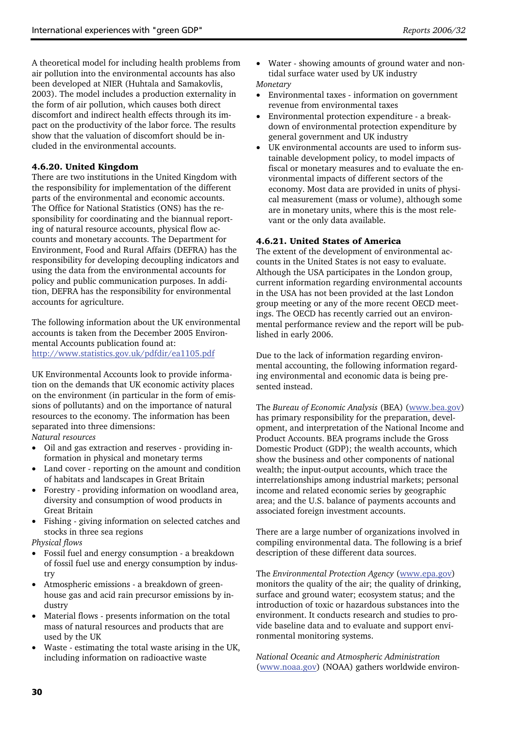A theoretical model for including health problems from air pollution into the environmental accounts has also been developed at NIER (Huhtala and Samakovlis, 2003). The model includes a production externality in the form of air pollution, which causes both direct discomfort and indirect health effects through its impact on the productivity of the labor force. The results show that the valuation of discomfort should be included in the environmental accounts.

# 4.6.20.United Kingdom

There are two institutions in the United Kingdom with the responsibility for implementation of the different parts of the environmental and economic accounts. The Office for National Statistics (ONS) has the responsibility for coordinating and the biannual reporting of natural resource accounts, physical flow accounts and monetary accounts. The Department for Environment, Food and Rural Affairs (DEFRA) has the responsibility for developing decoupling indicators and using the data from the environmental accounts for policy and public communication purposes. In addition, DEFRA has the responsibility for environmental accounts for agriculture.

The following information about the UK environmental accounts is taken from the December 2005 Environmental Accounts publication found at: http://www.statistics.gov.uk/pdfdir/ea1105.pdf

UK Environmental Accounts look to provide information on the demands that UK economic activity places on the environment (in particular in the form of emissions of pollutants) and on the importance of natural resources to the economy. The information has been separated into three dimensions:

*Natural resources*

- Oil and gas extraction and reserves providing information in physical and monetary terms
- Land cover reporting on the amount and condition of habitats and landscapes in Great Britain
- Forestry providing information on woodland area, diversity and consumption of wood products in Great Britain
- Fishing giving information on selected catches and stocks in three sea regions

#### *Physical flows*

- Fossil fuel and energy consumption a breakdown of fossil fuel use and energy consumption by industry
- Atmospheric emissions a breakdown of greenhouse gas and acid rain precursor emissions by industry
- Material flows presents information on the total mass of natural resources and products that are used by the UK
- Waste estimating the total waste arising in the UK, including information on radioactive waste

• Water - showing amounts of ground water and nontidal surface water used by UK industry

# *Monetary*

- Environmental taxes information on government revenue from environmental taxes
- Environmental protection expenditure a breakdown of environmental protection expenditure by general government and UK industry
- UK environmental accounts are used to inform sustainable development policy, to model impacts of fiscal or monetary measures and to evaluate the environmental impacts of different sectors of the economy. Most data are provided in units of physical measurement (mass or volume), although some are in monetary units, where this is the most relevant or the only data available.

## 4.6.21.United States of America

The extent of the development of environmental accounts in the United States is not easy to evaluate. Although the USA participates in the London group, current information regarding environmental accounts in the USA has not been provided at the last London group meeting or any of the more recent OECD meetings. The OECD has recently carried out an environmental performance review and the report will be published in early 2006.

Due to the lack of information regarding environmental accounting, the following information regarding environmental and economic data is being presented instead.

The *Bureau of Economic Analysis* (BEA) (www.bea.gov) has primary responsibility for the preparation, development, and interpretation of the National Income and Product Accounts. BEA programs include the Gross Domestic Product (GDP); the wealth accounts, which show the business and other components of national wealth; the input-output accounts, which trace the interrelationships among industrial markets; personal income and related economic series by geographic area; and the U.S. balance of payments accounts and associated foreign investment accounts.

There are a large number of organizations involved in compiling environmental data. The following is a brief description of these different data sources.

The *Environmental Protection Agency* (www.epa.gov) monitors the quality of the air; the quality of drinking, surface and ground water; ecosystem status; and the introduction of toxic or hazardous substances into the environment. It conducts research and studies to provide baseline data and to evaluate and support environmental monitoring systems.

*National Oceanic and Atmospheric Administration* (www.noaa.gov) (NOAA) gathers worldwide environ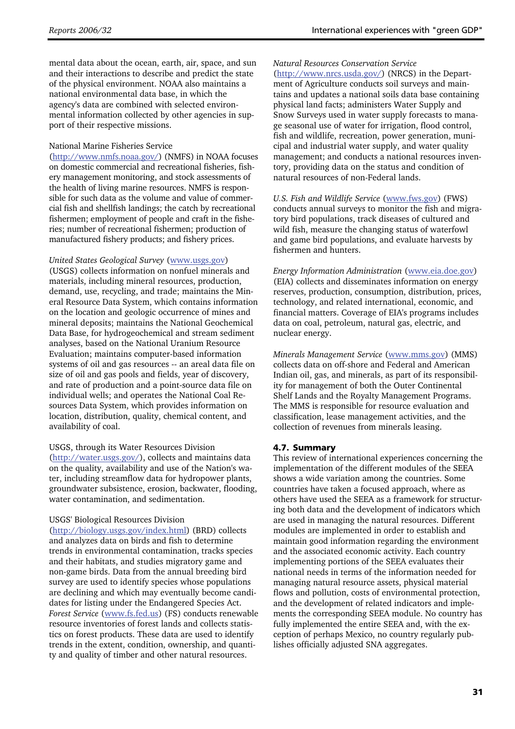mental data about the ocean, earth, air, space, and sun and their interactions to describe and predict the state of the physical environment. NOAA also maintains a national environmental data base, in which the agency's data are combined with selected environmental information collected by other agencies in support of their respective missions.

# National Marine Fisheries Service

(http://www.nmfs.noaa.gov/) (NMFS) in NOAA focuses on domestic commercial and recreational fisheries, fishery management monitoring, and stock assessments of the health of living marine resources. NMFS is responsible for such data as the volume and value of commercial fish and shellfish landings; the catch by recreational fishermen; employment of people and craft in the fisheries; number of recreational fishermen; production of manufactured fishery products; and fishery prices.

## *United States Geological Survey* (www.usgs.gov)

(USGS) collects information on nonfuel minerals and materials, including mineral resources, production, demand, use, recycling, and trade; maintains the Mineral Resource Data System, which contains information on the location and geologic occurrence of mines and mineral deposits; maintains the National Geochemical Data Base, for hydrogeochemical and stream sediment analyses, based on the National Uranium Resource Evaluation; maintains computer-based information systems of oil and gas resources -- an areal data file on size of oil and gas pools and fields, year of discovery, and rate of production and a point-source data file on individual wells; and operates the National Coal Resources Data System, which provides information on location, distribution, quality, chemical content, and availability of coal.

USGS, through its Water Resources Division (http://water.usgs.gov/), collects and maintains data on the quality, availability and use of the Nation's water, including streamflow data for hydropower plants, groundwater subsistence, erosion, backwater, flooding, water contamination, and sedimentation.

#### USGS' Biological Resources Division

(http://biology.usgs.gov/index.html) (BRD) collects and analyzes data on birds and fish to determine trends in environmental contamination, tracks species and their habitats, and studies migratory game and non-game birds. Data from the annual breeding bird survey are used to identify species whose populations are declining and which may eventually become candidates for listing under the Endangered Species Act. *Forest Service* (www.fs.fed.us) (FS) conducts renewable resource inventories of forest lands and collects statistics on forest products. These data are used to identify trends in the extent, condition, ownership, and quantity and quality of timber and other natural resources.

*Natural Resources Conservation Service* (http://www.nrcs.usda.gov/) (NRCS) in the Department of Agriculture conducts soil surveys and maintains and updates a national soils data base containing physical land facts; administers Water Supply and Snow Surveys used in water supply forecasts to manage seasonal use of water for irrigation, flood control, fish and wildlife, recreation, power generation, municipal and industrial water supply, and water quality management; and conducts a national resources inventory, providing data on the status and condition of natural resources of non-Federal lands.

*U.S. Fish and Wildlife Service* (www.fws.gov) (FWS) conducts annual surveys to monitor the fish and migratory bird populations, track diseases of cultured and wild fish, measure the changing status of waterfowl and game bird populations, and evaluate harvests by fishermen and hunters.

*Energy Information Administration* (www.eia.doe.gov) (EIA) collects and disseminates information on energy reserves, production, consumption, distribution, prices, technology, and related international, economic, and financial matters. Coverage of EIA's programs includes data on coal, petroleum, natural gas, electric, and nuclear energy.

*Minerals Management Service* (www.mms.gov) (MMS) collects data on off-shore and Federal and American Indian oil, gas, and minerals, as part of its responsibility for management of both the Outer Continental Shelf Lands and the Royalty Management Programs. The MMS is responsible for resource evaluation and classification, lease management activities, and the collection of revenues from minerals leasing.

# **4.7. Summary**

This review of international experiences concerning the implementation of the different modules of the SEEA shows a wide variation among the countries. Some countries have taken a focused approach, where as others have used the SEEA as a framework for structuring both data and the development of indicators which are used in managing the natural resources. Different modules are implemented in order to establish and maintain good information regarding the environment and the associated economic activity. Each country implementing portions of the SEEA evaluates their national needs in terms of the information needed for managing natural resource assets, physical material flows and pollution, costs of environmental protection, and the development of related indicators and implements the corresponding SEEA module. No country has fully implemented the entire SEEA and, with the exception of perhaps Mexico, no country regularly publishes officially adjusted SNA aggregates.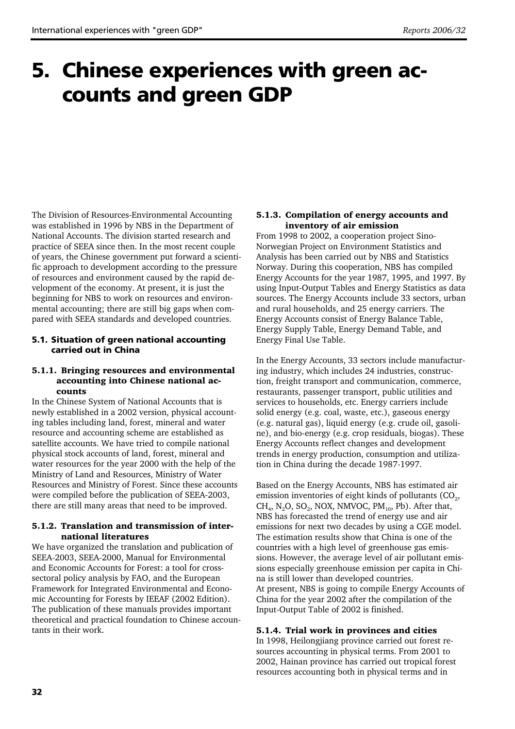# **5. Chinese experiences with green accounts and green GDP**

The Division of Resources-Environmental Accounting was established in 1996 by NBS in the Department of National Accounts. The division started research and practice of SEEA since then. In the most recent couple of years, the Chinese government put forward a scientific approach to development according to the pressure of resources and environment caused by the rapid development of the economy. At present, it is just the beginning for NBS to work on resources and environmental accounting; there are still big gaps when compared with SEEA standards and developed countries.

# **5.1. Situation of green national accounting carried out in China**

# 5.1.1. Bringing resources and environmental accounting into Chinese national accounts

In the Chinese System of National Accounts that is newly established in a 2002 version, physical accounting tables including land, forest, mineral and water resource and accounting scheme are established as satellite accounts. We have tried to compile national physical stock accounts of land, forest, mineral and water resources for the year 2000 with the help of the Ministry of Land and Resources, Ministry of Water Resources and Ministry of Forest. Since these accounts were compiled before the publication of SEEA-2003, there are still many areas that need to be improved.

#### 5.1.2. Translation and transmission of international literatures

We have organized the translation and publication of SEEA-2003, SEEA-2000, Manual for Environmental and Economic Accounts for Forest: a tool for crosssectoral policy analysis by FAO, and the European Framework for Integrated Environmental and Economic Accounting for Forests by IEEAF (2002 Edition). The publication of these manuals provides important theoretical and practical foundation to Chinese accountants in their work.

## 5.1.3. Compilation of energy accounts and inventory of air emission

From 1998 to 2002, a cooperation project Sino-Norwegian Project on Environment Statistics and Analysis has been carried out by NBS and Statistics Norway. During this cooperation, NBS has compiled Energy Accounts for the year 1987, 1995, and 1997. By using Input-Output Tables and Energy Statistics as data sources. The Energy Accounts include 33 sectors, urban and rural households, and 25 energy carriers. The Energy Accounts consist of Energy Balance Table, Energy Supply Table, Energy Demand Table, and Energy Final Use Table.

In the Energy Accounts, 33 sectors include manufacturing industry, which includes 24 industries, construction, freight transport and communication, commerce, restaurants, passenger transport, public utilities and services to households, etc. Energy carriers include solid energy (e.g. coal, waste, etc.), gaseous energy (e.g. natural gas), liquid energy (e.g. crude oil, gasoline), and bio-energy (e.g. crop residuals, biogas). These Energy Accounts reflect changes and development trends in energy production, consumption and utilization in China during the decade 1987-1997.

Based on the Energy Accounts, NBS has estimated air emission inventories of eight kinds of pollutants  $(CO<sub>2</sub>)$ ,  $CH_4$ , N<sub>2</sub>O, SO<sub>2</sub>, NOX, NMVOC, PM<sub>10</sub>, Pb). After that, NBS has forecasted the trend of energy use and air emissions for next two decades by using a CGE model. The estimation results show that China is one of the countries with a high level of greenhouse gas emissions. However, the average level of air pollutant emissions especially greenhouse emission per capita in China is still lower than developed countries. At present, NBS is going to compile Energy Accounts of China for the year 2002 after the compilation of the Input-Output Table of 2002 is finished.

# 5.1.4. Trial work in provinces and cities

In 1998, Heilongjiang province carried out forest resources accounting in physical terms. From 2001 to 2002, Hainan province has carried out tropical forest resources accounting both in physical terms and in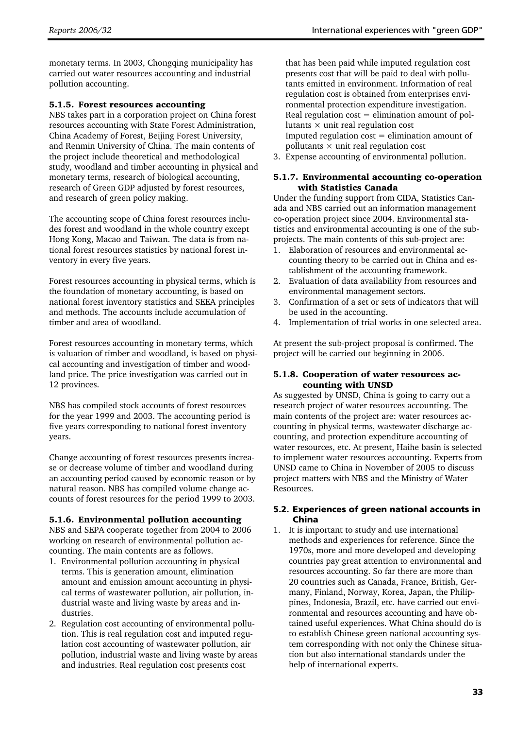monetary terms. In 2003, Chongqing municipality has carried out water resources accounting and industrial pollution accounting.

# 5.1.5. Forest resources accounting

NBS takes part in a corporation project on China forest resources accounting with State Forest Administration, China Academy of Forest, Beijing Forest University, and Renmin University of China. The main contents of the project include theoretical and methodological study, woodland and timber accounting in physical and monetary terms, research of biological accounting, research of Green GDP adjusted by forest resources, and research of green policy making.

The accounting scope of China forest resources includes forest and woodland in the whole country except Hong Kong, Macao and Taiwan. The data is from national forest resources statistics by national forest inventory in every five years.

Forest resources accounting in physical terms, which is the foundation of monetary accounting, is based on national forest inventory statistics and SEEA principles and methods. The accounts include accumulation of timber and area of woodland.

Forest resources accounting in monetary terms, which is valuation of timber and woodland, is based on physical accounting and investigation of timber and woodland price. The price investigation was carried out in 12 provinces.

NBS has compiled stock accounts of forest resources for the year 1999 and 2003. The accounting period is five years corresponding to national forest inventory years.

Change accounting of forest resources presents increase or decrease volume of timber and woodland during an accounting period caused by economic reason or by natural reason. NBS has compiled volume change accounts of forest resources for the period 1999 to 2003.

# 5.1.6. Environmental pollution accounting

NBS and SEPA cooperate together from 2004 to 2006 working on research of environmental pollution accounting. The main contents are as follows.

- 1. Environmental pollution accounting in physical terms. This is generation amount, elimination amount and emission amount accounting in physical terms of wastewater pollution, air pollution, industrial waste and living waste by areas and industries.
- 2. Regulation cost accounting of environmental pollution. This is real regulation cost and imputed regulation cost accounting of wastewater pollution, air pollution, industrial waste and living waste by areas and industries. Real regulation cost presents cost

that has been paid while imputed regulation cost presents cost that will be paid to deal with pollutants emitted in environment. Information of real regulation cost is obtained from enterprises environmental protection expenditure investigation. Real regulation  $cost = elimination$  amount of pollutants  $\times$  unit real regulation cost Imputed regulation  $cost = elimination$  amount of pollutants  $\times$  unit real regulation cost

3. Expense accounting of environmental pollution.

### 5.1.7. Environmental accounting co-operation with Statistics Canada

Under the funding support from CIDA, Statistics Canada and NBS carried out an information management co-operation project since 2004. Environmental statistics and environmental accounting is one of the subprojects. The main contents of this sub-project are:

- 1. Elaboration of resources and environmental accounting theory to be carried out in China and establishment of the accounting framework.
- 2. Evaluation of data availability from resources and environmental management sectors.
- 3. Confirmation of a set or sets of indicators that will be used in the accounting.
- 4. Implementation of trial works in one selected area.

At present the sub-project proposal is confirmed. The project will be carried out beginning in 2006.

# 5.1.8. Cooperation of water resources accounting with UNSD

As suggested by UNSD, China is going to carry out a research project of water resources accounting. The main contents of the project are: water resources accounting in physical terms, wastewater discharge accounting, and protection expenditure accounting of water resources, etc. At present, Haihe basin is selected to implement water resources accounting. Experts from UNSD came to China in November of 2005 to discuss project matters with NBS and the Ministry of Water Resources.

# **5.2. Experiences of green national accounts in China**

1. It is important to study and use international methods and experiences for reference. Since the 1970s, more and more developed and developing countries pay great attention to environmental and resources accounting. So far there are more than 20 countries such as Canada, France, British, Germany, Finland, Norway, Korea, Japan, the Philippines, Indonesia, Brazil, etc. have carried out environmental and resources accounting and have obtained useful experiences. What China should do is to establish Chinese green national accounting system corresponding with not only the Chinese situation but also international standards under the help of international experts.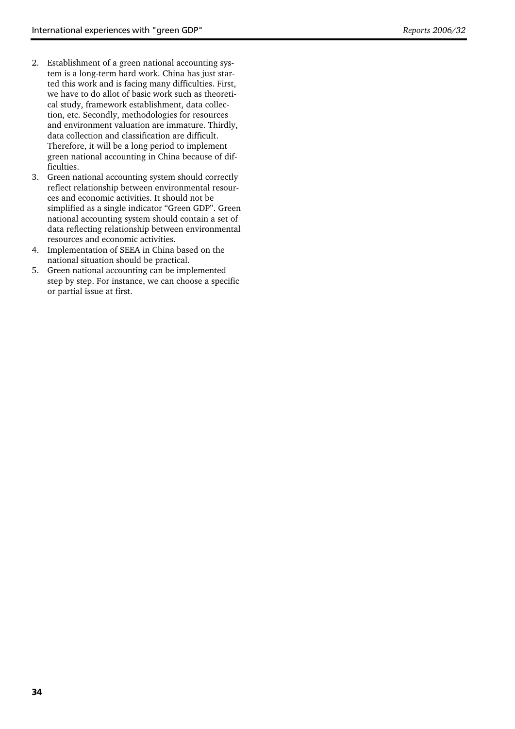- 2. Establishment of a green national accounting system is a long-term hard work. China has just started this work and is facing many difficulties. First, we have to do allot of basic work such as theoretical study, framework establishment, data collection, etc. Secondly, methodologies for resources and environment valuation are immature. Thirdly, data collection and classification are difficult. Therefore, it will be a long period to implement green national accounting in China because of difficulties.
- 3. Green national accounting system should correctly reflect relationship between environmental resources and economic activities. It should not be simplified as a single indicator "Green GDP". Green national accounting system should contain a set of data reflecting relationship between environmental resources and economic activities.
- 4. Implementation of SEEA in China based on the national situation should be practical.
- 5. Green national accounting can be implemented step by step. For instance, we can choose a specific or partial issue at first.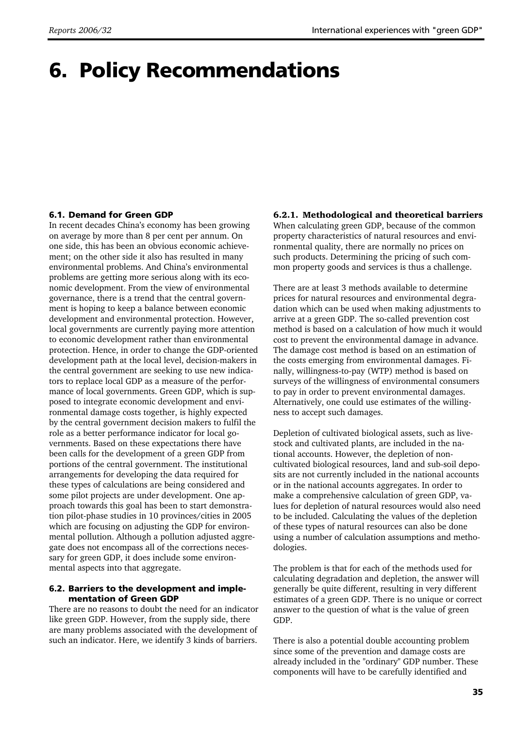# **6. Policy Recommendations**

# **6.1. Demand for Green GDP**

In recent decades China's economy has been growing on average by more than 8 per cent per annum. On one side, this has been an obvious economic achievement; on the other side it also has resulted in many environmental problems. And China's environmental problems are getting more serious along with its economic development. From the view of environmental governance, there is a trend that the central government is hoping to keep a balance between economic development and environmental protection. However, local governments are currently paying more attention to economic development rather than environmental protection. Hence, in order to change the GDP-oriented development path at the local level, decision-makers in the central government are seeking to use new indicators to replace local GDP as a measure of the performance of local governments. Green GDP, which is supposed to integrate economic development and environmental damage costs together, is highly expected by the central government decision makers to fulfil the role as a better performance indicator for local governments. Based on these expectations there have been calls for the development of a green GDP from portions of the central government. The institutional arrangements for developing the data required for these types of calculations are being considered and some pilot projects are under development. One approach towards this goal has been to start demonstration pilot-phase studies in 10 provinces/cities in 2005 which are focusing on adjusting the GDP for environmental pollution. Although a pollution adjusted aggregate does not encompass all of the corrections necessary for green GDP, it does include some environmental aspects into that aggregate.

## **6.2. Barriers to the development and implementation of Green GDP**

There are no reasons to doubt the need for an indicator like green GDP. However, from the supply side, there are many problems associated with the development of such an indicator. Here, we identify 3 kinds of barriers.

# 6.2.1. Methodological and theoretical barriers

When calculating green GDP, because of the common property characteristics of natural resources and environmental quality, there are normally no prices on such products. Determining the pricing of such common property goods and services is thus a challenge.

There are at least 3 methods available to determine prices for natural resources and environmental degradation which can be used when making adjustments to arrive at a green GDP. The so-called prevention cost method is based on a calculation of how much it would cost to prevent the environmental damage in advance. The damage cost method is based on an estimation of the costs emerging from environmental damages. Finally, willingness-to-pay (WTP) method is based on surveys of the willingness of environmental consumers to pay in order to prevent environmental damages. Alternatively, one could use estimates of the willingness to accept such damages.

Depletion of cultivated biological assets, such as livestock and cultivated plants, are included in the national accounts. However, the depletion of noncultivated biological resources, land and sub-soil deposits are not currently included in the national accounts or in the national accounts aggregates. In order to make a comprehensive calculation of green GDP, values for depletion of natural resources would also need to be included. Calculating the values of the depletion of these types of natural resources can also be done using a number of calculation assumptions and methodologies.

The problem is that for each of the methods used for calculating degradation and depletion, the answer will generally be quite different, resulting in very different estimates of a green GDP. There is no unique or correct answer to the question of what is the value of green GDP.

There is also a potential double accounting problem since some of the prevention and damage costs are already included in the "ordinary" GDP number. These components will have to be carefully identified and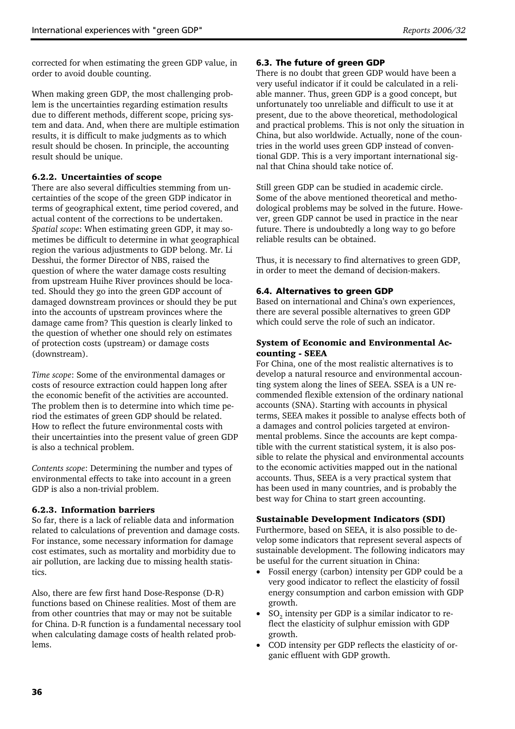corrected for when estimating the green GDP value, in order to avoid double counting.

When making green GDP, the most challenging problem is the uncertainties regarding estimation results due to different methods, different scope, pricing system and data. And, when there are multiple estimation results, it is difficult to make judgments as to which result should be chosen. In principle, the accounting result should be unique.

# 6.2.2. Uncertainties of scope

There are also several difficulties stemming from uncertainties of the scope of the green GDP indicator in terms of geographical extent, time period covered, and actual content of the corrections to be undertaken. *Spatial scope*: When estimating green GDP, it may sometimes be difficult to determine in what geographical region the various adjustments to GDP belong. Mr. Li Desshui, the former Director of NBS, raised the question of where the water damage costs resulting from upstream Huihe River provinces should be located. Should they go into the green GDP account of damaged downstream provinces or should they be put into the accounts of upstream provinces where the damage came from? This question is clearly linked to the question of whether one should rely on estimates of protection costs (upstream) or damage costs (downstream).

*Time scope*: Some of the environmental damages or costs of resource extraction could happen long after the economic benefit of the activities are accounted. The problem then is to determine into which time period the estimates of green GDP should be related. How to reflect the future environmental costs with their uncertainties into the present value of green GDP is also a technical problem.

*Contents scope*: Determining the number and types of environmental effects to take into account in a green GDP is also a non-trivial problem.

# 6.2.3. Information barriers

So far, there is a lack of reliable data and information related to calculations of prevention and damage costs. For instance, some necessary information for damage cost estimates, such as mortality and morbidity due to air pollution, are lacking due to missing health statistics.

Also, there are few first hand Dose-Response (D-R) functions based on Chinese realities. Most of them are from other countries that may or may not be suitable for China. D-R function is a fundamental necessary tool when calculating damage costs of health related problems.

# **6.3. The future of green GDP**

There is no doubt that green GDP would have been a very useful indicator if it could be calculated in a reliable manner. Thus, green GDP is a good concept, but unfortunately too unreliable and difficult to use it at present, due to the above theoretical, methodological and practical problems. This is not only the situation in China, but also worldwide. Actually, none of the countries in the world uses green GDP instead of conventional GDP. This is a very important international signal that China should take notice of.

Still green GDP can be studied in academic circle. Some of the above mentioned theoretical and methodological problems may be solved in the future. However, green GDP cannot be used in practice in the near future. There is undoubtedly a long way to go before reliable results can be obtained.

Thus, it is necessary to find alternatives to green GDP, in order to meet the demand of decision-makers.

# **6.4. Alternatives to green GDP**

Based on international and China's own experiences, there are several possible alternatives to green GDP which could serve the role of such an indicator.

# System of Economic and Environmental Accounting - SEEA

For China, one of the most realistic alternatives is to develop a natural resource and environmental accounting system along the lines of SEEA. SSEA is a UN recommended flexible extension of the ordinary national accounts (SNA). Starting with accounts in physical terms, SEEA makes it possible to analyse effects both of a damages and control policies targeted at environmental problems. Since the accounts are kept compatible with the current statistical system, it is also possible to relate the physical and environmental accounts to the economic activities mapped out in the national accounts. Thus, SEEA is a very practical system that has been used in many countries, and is probably the best way for China to start green accounting.

# Sustainable Development Indicators (SDI)

Furthermore, based on SEEA, it is also possible to develop some indicators that represent several aspects of sustainable development. The following indicators may be useful for the current situation in China:

- Fossil energy (carbon) intensity per GDP could be a very good indicator to reflect the elasticity of fossil energy consumption and carbon emission with GDP growth.
- SO<sub>2</sub> intensity per GDP is a similar indicator to reflect the elasticity of sulphur emission with GDP growth.
- COD intensity per GDP reflects the elasticity of organic effluent with GDP growth.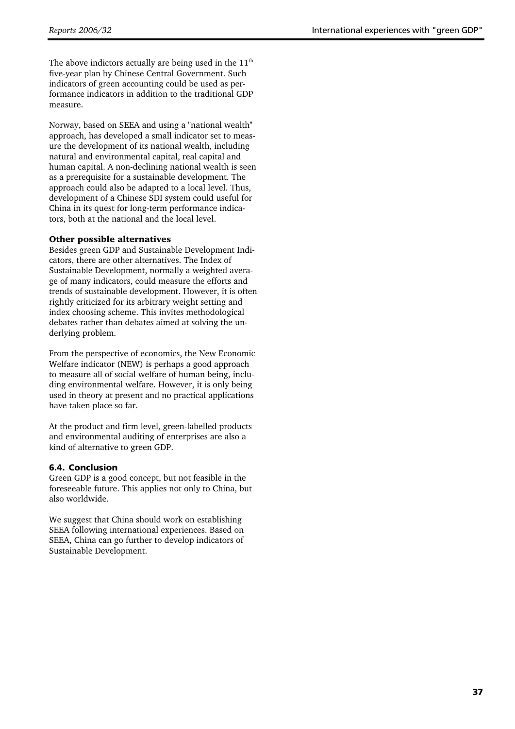The above indictors actually are being used in the  $11<sup>th</sup>$ five-year plan by Chinese Central Government. Such indicators of green accounting could be used as performance indicators in addition to the traditional GDP measure.

Norway, based on SEEA and using a "national wealth" approach, has developed a small indicator set to measure the development of its national wealth, including natural and environmental capital, real capital and human capital. A non-declining national wealth is seen as a prerequisite for a sustainable development. The approach could also be adapted to a local level. Thus, development of a Chinese SDI system could useful for China in its quest for long-term performance indicators, both at the national and the local level.

# Other possible alternatives

Besides green GDP and Sustainable Development Indicators, there are other alternatives. The Index of Sustainable Development, normally a weighted average of many indicators, could measure the efforts and trends of sustainable development. However, it is often rightly criticized for its arbitrary weight setting and index choosing scheme. This invites methodological debates rather than debates aimed at solving the underlying problem.

From the perspective of economics, the New Economic Welfare indicator (NEW) is perhaps a good approach to measure all of social welfare of human being, including environmental welfare. However, it is only being used in theory at present and no practical applications have taken place so far.

At the product and firm level, green-labelled products and environmental auditing of enterprises are also a kind of alternative to green GDP.

# **6.4. Conclusion**

Green GDP is a good concept, but not feasible in the foreseeable future. This applies not only to China, but also worldwide.

We suggest that China should work on establishing SEEA following international experiences. Based on SEEA, China can go further to develop indicators of Sustainable Development.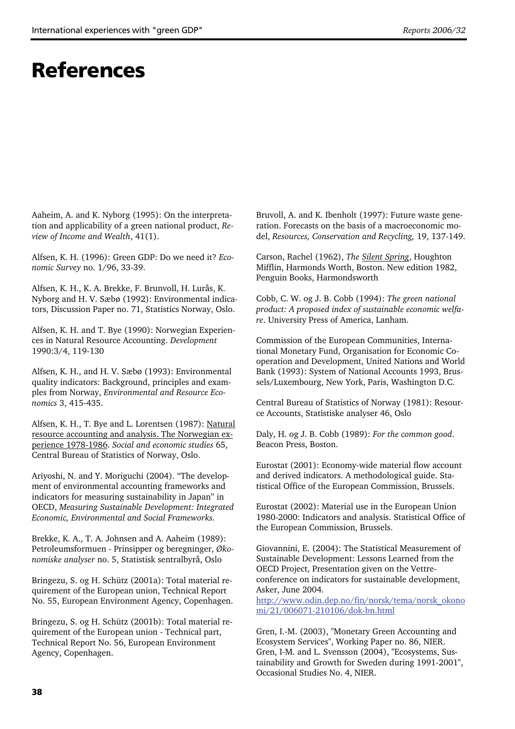# **References**

Aaheim, A. and K. Nyborg (1995): On the interpretation and applicability of a green national product, *Review of Income and Wealth*, 41(1).

Alfsen, K. H. (1996): Green GDP: Do we need it? *Economic Survey* no. 1/96, 33-39.

Alfsen, K. H., K. A. Brekke, F. Brunvoll, H. Lurås, K. Nyborg and H. V. Sæbø (1992): Environmental indicators, Discussion Paper no. 71, Statistics Norway, Oslo.

Alfsen, K. H. and T. Bye (1990): Norwegian Experiences in Natural Resource Accounting. *Development*  1990:3/4, 119-130

Alfsen, K. H., and H. V. Sæbø (1993): Environmental quality indicators: Background, principles and examples from Norway, *Environmental and Resource Economics* 3, 415-435.

Alfsen, K. H., T. Bye and L. Lorentsen (1987): Natural resource accounting and analysis. The Norwegian experience 1978-1986. *Social and economic studies* 65, Central Bureau of Statistics of Norway, Oslo.

Ariyoshi, N. and Y. Moriguchi (2004). "The development of environmental accounting frameworks and indicators for measuring sustainability in Japan" in OECD, *Measuring Sustainable Development: Integrated Economic, Environmental and Social Frameworks.* 

Brekke, K. A., T. A. Johnsen and A. Aaheim (1989): Petroleumsformuen - Prinsipper og beregninger, *Økonomiske analyser* no. 5, Statistisk sentralbyrå, Oslo

Bringezu, S. og H. Schütz (2001a): Total material requirement of the European union, Technical Report No. 55, European Environment Agency, Copenhagen.

Bringezu, S. og H. Schütz (2001b): Total material requirement of the European union - Technical part, Technical Report No. 56, European Environment Agency, Copenhagen.

Bruvoll, A. and K. Ibenholt (1997): Future waste generation. Forecasts on the basis of a macroeconomic model, *Resources, Conservation and Recycling,* 19, 137-149.

Carson, Rachel (1962), *The Silent Spring*, Houghton Mifflin, Harmonds Worth, Boston. New edition 1982, Penguin Books, Harmondsworth

Cobb, C. W. og J. B. Cobb (1994): *The green national product: A proposed index of sustainable economic welfare*. University Press of America, Lanham.

Commission of the European Communities, International Monetary Fund, Organisation for Economic Cooperation and Development, United Nations and World Bank (1993): System of National Accounts 1993, Brussels/Luxembourg, New York, Paris, Washington D.C.

Central Bureau of Statistics of Norway (1981): Resource Accounts, Statistiske analyser 46, Oslo

Daly, H. og J. B. Cobb (1989): *For the common good*. Beacon Press, Boston.

Eurostat (2001): Economy-wide material flow account and derived indicators. A methodological guide. Statistical Office of the European Commission, Brussels.

Eurostat (2002): Material use in the European Union 1980-2000: Indicators and analysis. Statistical Office of the European Commission, Brussels.

Giovannini, E. (2004): The Statistical Measurement of Sustainable Development: Lessons Learned from the OECD Project, Presentation given on the Vettreconference on indicators for sustainable development, Asker, June 2004.

http://www.odin.dep.no/fin/norsk/tema/norsk\_okono mi/21/006071-210106/dok-bn.html

Gren, I.-M. (2003), "Monetary Green Accounting and Ecosystem Services", Working Paper no. 86, NIER. Gren, I-M. and L. Svensson (2004), "Ecosystems, Sustainability and Growth for Sweden during 1991-2001", Occasional Studies No. 4, NIER.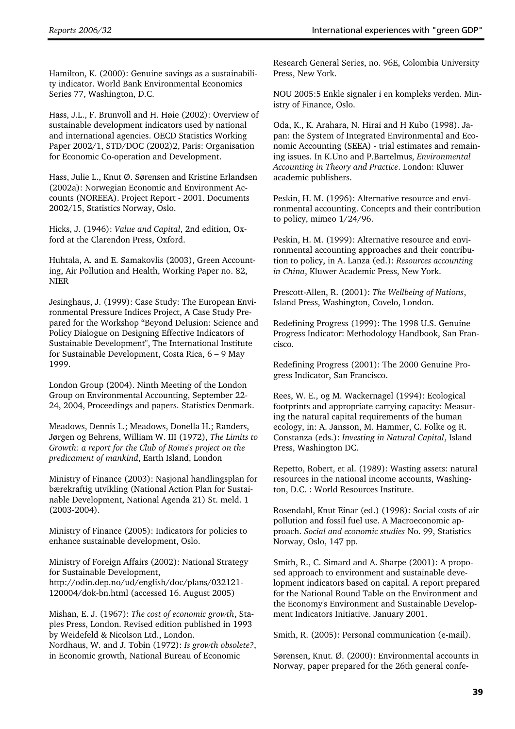Hamilton, K. (2000): Genuine savings as a sustainability indicator. World Bank Environmental Economics Series 77, Washington, D.C.

Hass, J.L., F. Brunvoll and H. Høie (2002): Overview of sustainable development indicators used by national and international agencies. OECD Statistics Working Paper 2002/1, STD/DOC (2002)2, Paris: Organisation for Economic Co-operation and Development.

Hass, Julie L., Knut Ø. Sørensen and Kristine Erlandsen (2002a): Norwegian Economic and Environment Accounts (NOREEA). Project Report - 2001. Documents 2002/15, Statistics Norway, Oslo.

Hicks, J. (1946): *Value and Capital*, 2nd edition, Oxford at the Clarendon Press, Oxford.

Huhtala, A. and E. Samakovlis (2003), Green Accounting, Air Pollution and Health, Working Paper no. 82, NIER

Jesinghaus, J. (1999): Case Study: The European Environmental Pressure Indices Project, A Case Study Prepared for the Workshop "Beyond Delusion: Science and Policy Dialogue on Designing Effective Indicators of Sustainable Development", The International Institute for Sustainable Development, Costa Rica, 6 – 9 May 1999.

London Group (2004). Ninth Meeting of the London Group on Environmental Accounting, September 22- 24, 2004, Proceedings and papers. Statistics Denmark.

Meadows, Dennis L.; Meadows, Donella H.; Randers, Jørgen og Behrens, William W. III (1972), *The Limits to Growth: a report for the Club of Rome's project on the predicament of mankind*, Earth Island, London

Ministry of Finance (2003): Nasjonal handlingsplan for bærekraftig utvikling (National Action Plan for Sustainable Development, National Agenda 21) St. meld. 1 (2003-2004).

Ministry of Finance (2005): Indicators for policies to enhance sustainable development, Oslo.

Ministry of Foreign Affairs (2002): National Strategy for Sustainable Development, http://odin.dep.no/ud/english/doc/plans/032121- 120004/dok-bn.html (accessed 16. August 2005)

Mishan, E. J. (1967): *The cost of economic growth*, Staples Press, London. Revised edition published in 1993 by Weidefeld & Nicolson Ltd., London. Nordhaus, W. and J. Tobin (1972): *Is growth obsolete?*, in Economic growth, National Bureau of Economic

Research General Series, no. 96E, Colombia University Press, New York.

NOU 2005:5 Enkle signaler i en kompleks verden. Ministry of Finance, Oslo.

Oda, K., K. Arahara, N. Hirai and H Kubo (1998). Japan: the System of Integrated Environmental and Economic Accounting (SEEA) - trial estimates and remaining issues. In K.Uno and P.Bartelmus, *Environmental Accounting in Theory and Practice*. London: Kluwer academic publishers.

Peskin, H. M. (1996): Alternative resource and environmental accounting. Concepts and their contribution to policy, mimeo 1/24/96.

Peskin, H. M. (1999): Alternative resource and environmental accounting approaches and their contribution to policy, in A. Lanza (ed.): *Resources accounting in China*, Kluwer Academic Press, New York.

Prescott-Allen, R. (2001): *The Wellbeing of Nations*, Island Press, Washington, Covelo, London.

Redefining Progress (1999): The 1998 U.S. Genuine Progress Indicator: Methodology Handbook, San Francisco.

Redefining Progress (2001): The 2000 Genuine Progress Indicator, San Francisco.

Rees, W. E., og M. Wackernagel (1994): Ecological footprints and appropriate carrying capacity: Measuring the natural capital requirements of the human ecology, in: A. Jansson, M. Hammer, C. Folke og R. Constanza (eds.): *Investing in Natural Capital*, Island Press, Washington DC.

Repetto, Robert, et al. (1989): Wasting assets: natural resources in the national income accounts, Washington, D.C. : World Resources Institute.

Rosendahl, Knut Einar (ed.) (1998): Social costs of air pollution and fossil fuel use. A Macroeconomic approach. *Social and economic studies* No. 99, Statistics Norway, Oslo, 147 pp.

Smith, R., C. Simard and A. Sharpe (2001): A proposed approach to environment and sustainable development indicators based on capital. A report prepared for the National Round Table on the Environment and the Economy's Environment and Sustainable Development Indicators Initiative. January 2001.

Smith, R. (2005): Personal communication (e-mail).

Sørensen, Knut. Ø. (2000): Environmental accounts in Norway, paper prepared for the 26th general confe-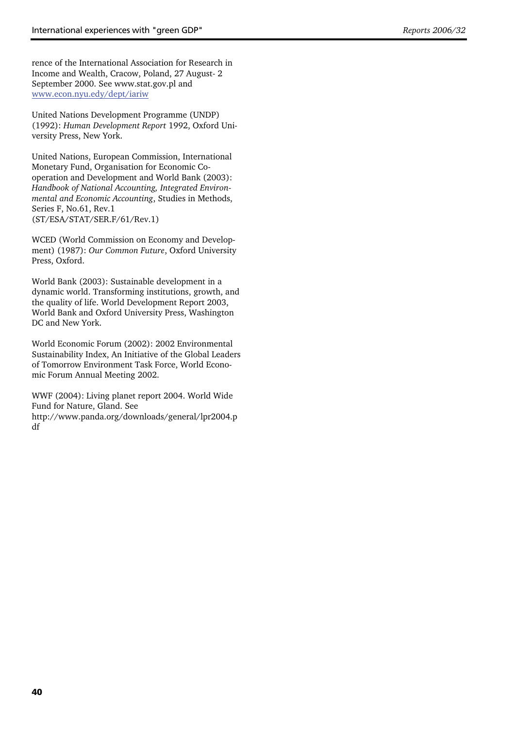rence of the International Association for Research in Income and Wealth, Cracow, Poland, 27 August- 2 September 2000. See www.stat.gov.pl and www.econ.nyu.edy/dept/iariw

United Nations Development Programme (UNDP) (1992): *Human Development Report* 1992, Oxford University Press, New York.

United Nations, European Commission, International Monetary Fund, Organisation for Economic Cooperation and Development and World Bank (2003): *Handbook of National Accounting, Integrated Environmental and Economic Accounting*, Studies in Methods, Series F, No.61, Rev.1 (ST/ESA/STAT/SER.F/61/Rev.1)

WCED (World Commission on Economy and Development) (1987): *Our Common Future*, Oxford University Press, Oxford.

World Bank (2003): Sustainable development in a dynamic world. Transforming institutions, growth, and the quality of life. World Development Report 2003, World Bank and Oxford University Press, Washington DC and New York.

World Economic Forum (2002): 2002 Environmental Sustainability Index, An Initiative of the Global Leaders of Tomorrow Environment Task Force, World Economic Forum Annual Meeting 2002.

WWF (2004): Living planet report 2004. World Wide Fund for Nature, Gland. See http://www.panda.org/downloads/general/lpr2004.p df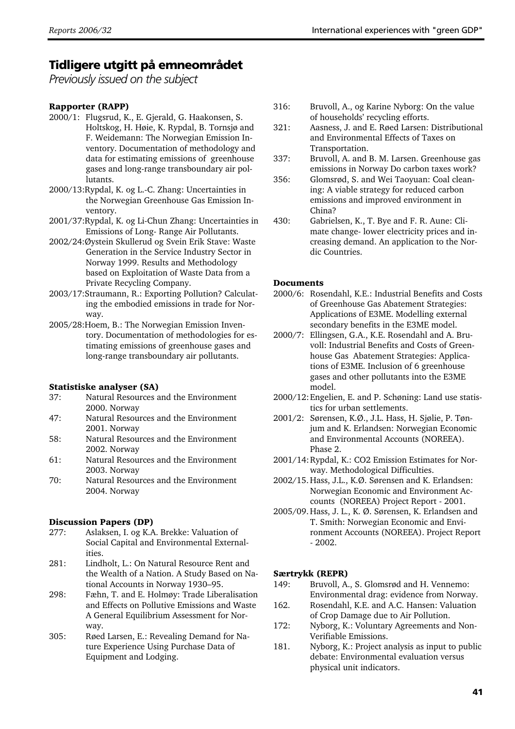# **Tidligere utgitt på emneområdet**

*Previously issued on the subject* 

# Rapporter (RAPP)

- 2000/1: Flugsrud, K., E. Gjerald, G. Haakonsen, S. Holtskog, H. Høie, K. Rypdal, B. Tornsjø and F. Weidemann: The Norwegian Emission Inventory. Documentation of methodology and data for estimating emissions of greenhouse gases and long-range transboundary air pollutants.
- 2000/13:Rypdal, K. og L.-C. Zhang: Uncertainties in the Norwegian Greenhouse Gas Emission Inventory.
- 2001/37:Rypdal, K. og Li-Chun Zhang: Uncertainties in Emissions of Long- Range Air Pollutants.
- 2002/24:Øystein Skullerud og Svein Erik Stave: Waste Generation in the Service Industry Sector in Norway 1999. Results and Methodology based on Exploitation of Waste Data from a Private Recycling Company.
- 2003/17:Straumann, R.: Exporting Pollution? Calculating the embodied emissions in trade for Norway.
- 2005/28:Hoem, B.: The Norwegian Emission Inventory. Documentation of methodologies for estimating emissions of greenhouse gases and long-range transboundary air pollutants.

# Statistiske analyser (SA)

- 37: Natural Resources and the Environment 2000. Norway
- 47: Natural Resources and the Environment 2001. Norway
- 58: Natural Resources and the Environment 2002. Norway
- 61: Natural Resources and the Environment 2003. Norway
- 70: Natural Resources and the Environment 2004. Norway

# Discussion Papers (DP)

- 277: Aslaksen, I. og K.A. Brekke: Valuation of Social Capital and Environmental Externalities.
- 281: Lindholt, L.: On Natural Resource Rent and the Wealth of a Nation. A Study Based on National Accounts in Norway 1930–95.
- 298: Fæhn, T. and E. Holmøy: Trade Liberalisation and Effects on Pollutive Emissions and Waste A General Equilibrium Assessment for Norway.
- 305: Røed Larsen, E.: Revealing Demand for Nature Experience Using Purchase Data of Equipment and Lodging.
- 316: Bruvoll, A., og Karine Nyborg: On the value of households' recycling efforts.
- 321: Aasness, J. and E. Røed Larsen: Distributional and Environmental Effects of Taxes on Transportation.
- 337: Bruvoll, A. and B. M. Larsen. Greenhouse gas emissions in Norway Do carbon taxes work?
- 356: Glomsrød, S. and Wei Taoyuan: Coal cleaning: A viable strategy for reduced carbon emissions and improved environment in China?
- 430: Gabrielsen, K., T. Bye and F. R. Aune: Climate change- lower electricity prices and increasing demand. An application to the Nordic Countries.

# **Documents**

- 2000/6: Rosendahl, K.E.: Industrial Benefits and Costs of Greenhouse Gas Abatement Strategies: Applications of E3ME. Modelling external secondary benefits in the E3ME model.
- 2000/7: Ellingsen, G.A., K.E. Rosendahl and A. Bruvoll: Industrial Benefits and Costs of Greenhouse Gas Abatement Strategies: Applications of E3ME. Inclusion of 6 greenhouse gases and other pollutants into the E3ME model.
- 2000/12: Engelien, E. and P. Schøning: Land use statistics for urban settlements.
- 2001/2: Sørensen, K.Ø., J.L. Hass, H. Sjølie, P. Tønjum and K. Erlandsen: Norwegian Economic and Environmental Accounts (NOREEA). Phase 2.
- 2001/14: Rypdal, K.: CO2 Emission Estimates for Norway. Methodological Difficulties.
- 2002/15. Hass, J.L., K.Ø. Sørensen and K. Erlandsen: Norwegian Economic and Environment Accounts (NOREEA) Project Report - 2001.
- 2005/09. Hass, J. L., K. Ø. Sørensen, K. Erlandsen and T. Smith: Norwegian Economic and Environment Accounts (NOREEA). Project Report - 2002.

# Særtrykk (REPR)

- 149: Bruvoll, A., S. Glomsrød and H. Vennemo: Environmental drag: evidence from Norway.
- 162. Rosendahl, K.E. and A.C. Hansen: Valuation of Crop Damage due to Air Pollution.
- 172: Nyborg, K.: Voluntary Agreements and Non-Verifiable Emissions.
- 181. Nyborg, K.: Project analysis as input to public debate: Environmental evaluation versus physical unit indicators.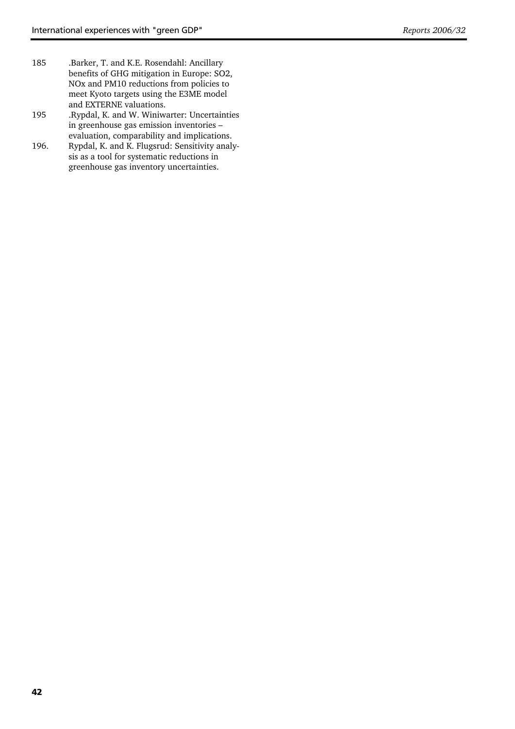- 185 .Barker, T. and K.E. Rosendahl: Ancillary benefits of GHG mitigation in Europe: SO2, NOx and PM10 reductions from policies to meet Kyoto targets using the E3ME model and EXTERNE valuations.
- 195 .Rypdal, K. and W. Winiwarter: Uncertainties in greenhouse gas emission inventories – evaluation, comparability and implications.
- 196. Rypdal, K. and K. Flugsrud: Sensitivity analysis as a tool for systematic reductions in greenhouse gas inventory uncertainties.